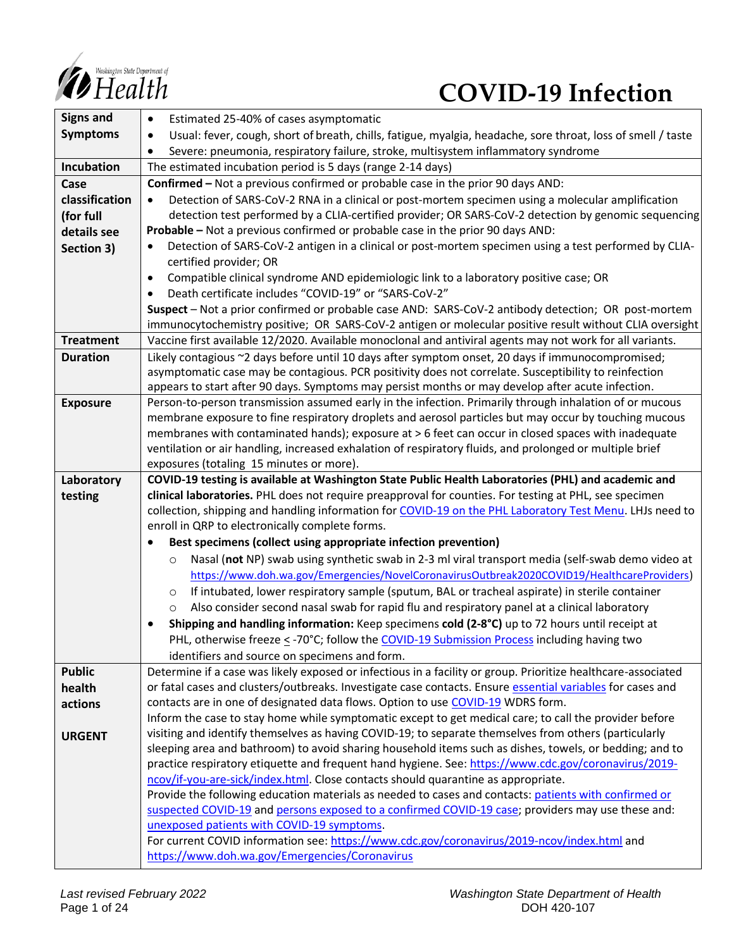

# *COVID-19* Infection

| <b>Signs and</b> | Estimated 25-40% of cases asymptomatic<br>٠                                                                                                                                                                |  |  |  |
|------------------|------------------------------------------------------------------------------------------------------------------------------------------------------------------------------------------------------------|--|--|--|
| <b>Symptoms</b>  | Usual: fever, cough, short of breath, chills, fatigue, myalgia, headache, sore throat, loss of smell / taste<br>٠                                                                                          |  |  |  |
|                  | Severe: pneumonia, respiratory failure, stroke, multisystem inflammatory syndrome                                                                                                                          |  |  |  |
| Incubation       | The estimated incubation period is 5 days (range 2-14 days)                                                                                                                                                |  |  |  |
| Case             | Confirmed - Not a previous confirmed or probable case in the prior 90 days AND:                                                                                                                            |  |  |  |
| classification   | Detection of SARS-CoV-2 RNA in a clinical or post-mortem specimen using a molecular amplification                                                                                                          |  |  |  |
| (for full        | detection test performed by a CLIA-certified provider; OR SARS-CoV-2 detection by genomic sequencing                                                                                                       |  |  |  |
| details see      | Probable - Not a previous confirmed or probable case in the prior 90 days AND:                                                                                                                             |  |  |  |
| Section 3)       | Detection of SARS-CoV-2 antigen in a clinical or post-mortem specimen using a test performed by CLIA-                                                                                                      |  |  |  |
|                  | certified provider; OR                                                                                                                                                                                     |  |  |  |
|                  | Compatible clinical syndrome AND epidemiologic link to a laboratory positive case; OR<br>٠                                                                                                                 |  |  |  |
|                  | Death certificate includes "COVID-19" or "SARS-CoV-2"                                                                                                                                                      |  |  |  |
|                  | Suspect - Not a prior confirmed or probable case AND: SARS-CoV-2 antibody detection; OR post-mortem                                                                                                        |  |  |  |
|                  | immunocytochemistry positive; OR SARS-CoV-2 antigen or molecular positive result without CLIA oversight                                                                                                    |  |  |  |
| <b>Treatment</b> | Vaccine first available 12/2020. Available monoclonal and antiviral agents may not work for all variants.                                                                                                  |  |  |  |
| <b>Duration</b>  | Likely contagious ~2 days before until 10 days after symptom onset, 20 days if immunocompromised;                                                                                                          |  |  |  |
|                  | asymptomatic case may be contagious. PCR positivity does not correlate. Susceptibility to reinfection                                                                                                      |  |  |  |
|                  | appears to start after 90 days. Symptoms may persist months or may develop after acute infection.                                                                                                          |  |  |  |
| <b>Exposure</b>  | Person-to-person transmission assumed early in the infection. Primarily through inhalation of or mucous                                                                                                    |  |  |  |
|                  | membrane exposure to fine respiratory droplets and aerosol particles but may occur by touching mucous                                                                                                      |  |  |  |
|                  | membranes with contaminated hands); exposure at > 6 feet can occur in closed spaces with inadequate                                                                                                        |  |  |  |
|                  | ventilation or air handling, increased exhalation of respiratory fluids, and prolonged or multiple brief                                                                                                   |  |  |  |
| Laboratory       | exposures (totaling 15 minutes or more).<br>COVID-19 testing is available at Washington State Public Health Laboratories (PHL) and academic and                                                            |  |  |  |
| testing          | clinical laboratories. PHL does not require preapproval for counties. For testing at PHL, see specimen                                                                                                     |  |  |  |
|                  | collection, shipping and handling information for COVID-19 on the PHL Laboratory Test Menu. LHJs need to                                                                                                   |  |  |  |
|                  | enroll in QRP to electronically complete forms.                                                                                                                                                            |  |  |  |
|                  | Best specimens (collect using appropriate infection prevention)                                                                                                                                            |  |  |  |
|                  | Nasal (not NP) swab using synthetic swab in 2-3 ml viral transport media (self-swab demo video at<br>$\circ$                                                                                               |  |  |  |
|                  | https://www.doh.wa.gov/Emergencies/NovelCoronavirusOutbreak2020COVID19/HealthcareProviders)                                                                                                                |  |  |  |
|                  | If intubated, lower respiratory sample (sputum, BAL or tracheal aspirate) in sterile container<br>$\circ$                                                                                                  |  |  |  |
|                  | Also consider second nasal swab for rapid flu and respiratory panel at a clinical laboratory<br>$\circ$                                                                                                    |  |  |  |
|                  | Shipping and handling information: Keep specimens cold (2-8°C) up to 72 hours until receipt at                                                                                                             |  |  |  |
|                  | PHL, otherwise freeze < -70°C; follow the COVID-19 Submission Process including having two                                                                                                                 |  |  |  |
|                  | identifiers and source on specimens and form.                                                                                                                                                              |  |  |  |
| <b>Public</b>    | Determine if a case was likely exposed or infectious in a facility or group. Prioritize healthcare-associated                                                                                              |  |  |  |
| health           | or fatal cases and clusters/outbreaks. Investigate case contacts. Ensure essential variables for cases and                                                                                                 |  |  |  |
| actions          | contacts are in one of designated data flows. Option to use COVID-19 WDRS form.                                                                                                                            |  |  |  |
|                  | Inform the case to stay home while symptomatic except to get medical care; to call the provider before                                                                                                     |  |  |  |
| <b>URGENT</b>    | visiting and identify themselves as having COVID-19; to separate themselves from others (particularly                                                                                                      |  |  |  |
|                  | sleeping area and bathroom) to avoid sharing household items such as dishes, towels, or bedding; and to                                                                                                    |  |  |  |
|                  | practice respiratory etiquette and frequent hand hygiene. See: https://www.cdc.gov/coronavirus/2019-                                                                                                       |  |  |  |
|                  | ncov/if-you-are-sick/index.html. Close contacts should quarantine as appropriate.                                                                                                                          |  |  |  |
|                  | Provide the following education materials as needed to cases and contacts: patients with confirmed or<br>suspected COVID-19 and persons exposed to a confirmed COVID-19 case; providers may use these and: |  |  |  |
|                  | unexposed patients with COVID-19 symptoms.                                                                                                                                                                 |  |  |  |
|                  | For current COVID information see: https://www.cdc.gov/coronavirus/2019-ncov/index.html and                                                                                                                |  |  |  |
|                  | https://www.doh.wa.gov/Emergencies/Coronavirus                                                                                                                                                             |  |  |  |
|                  |                                                                                                                                                                                                            |  |  |  |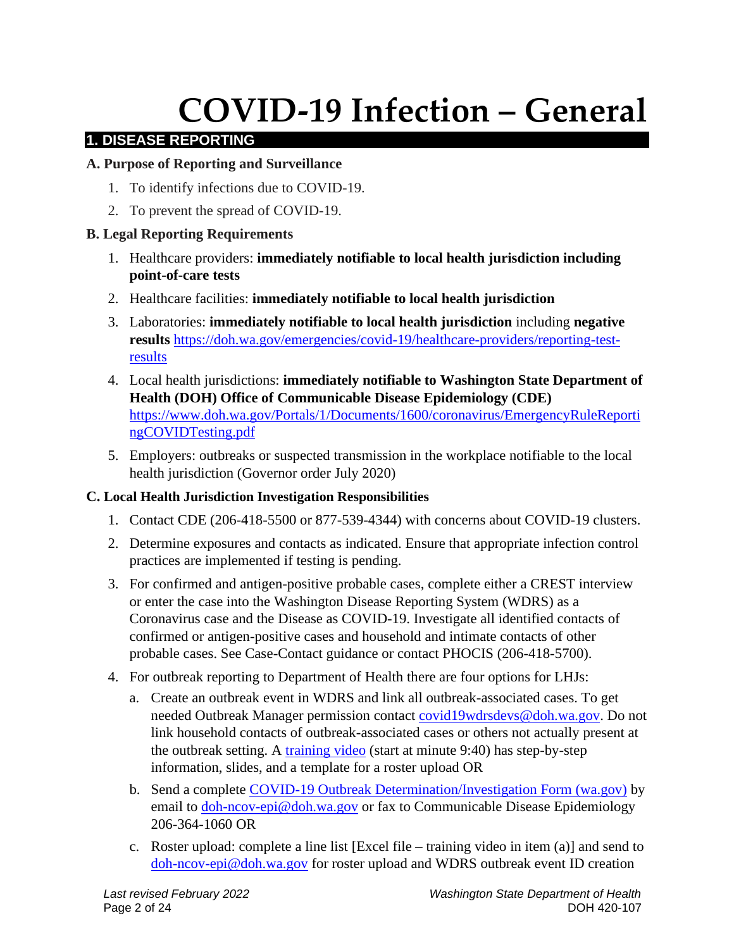# **COVID-19 Infection – General**

# **1. DISEASE REPORTING**

# **A. Purpose of Reporting and Surveillance**

- 1. To identify infections due to COVID-19.
- 2. To prevent the spread of COVID-19.

# **B. Legal Reporting Requirements**

- 1. Healthcare providers: **immediately notifiable to local health jurisdiction including point-of-care tests**
- 2. Healthcare facilities: **immediately notifiable to local health jurisdiction**
- 3. Laboratories: **immediately notifiable to local health jurisdiction** including **negative results** [https://doh.wa.gov/emergencies/covid-19/healthcare-providers/reporting-test](https://doh.wa.gov/emergencies/covid-19/healthcare-providers/reporting-test-results)[results](https://doh.wa.gov/emergencies/covid-19/healthcare-providers/reporting-test-results)
- 4. Local health jurisdictions: **immediately notifiable to Washington State Department of Health (DOH) Office of Communicable Disease Epidemiology (CDE)** [https://www.doh.wa.gov/Portals/1/Documents/1600/coronavirus/EmergencyRuleReporti](https://www.doh.wa.gov/Portals/1/Documents/1600/coronavirus/EmergencyRuleReportingCOVIDTesting.pdf) [ngCOVIDTesting.pdf](https://www.doh.wa.gov/Portals/1/Documents/1600/coronavirus/EmergencyRuleReportingCOVIDTesting.pdf)
- 5. Employers: outbreaks or suspected transmission in the workplace notifiable to the local health jurisdiction (Governor order July 2020)

# **C. Local Health Jurisdiction Investigation Responsibilities**

- 1. Contact CDE (206-418-5500 or 877-539-4344) with concerns about COVID-19 clusters.
- 2. Determine exposures and contacts as indicated. Ensure that appropriate infection control practices are implemented if testing is pending.
- 3. For confirmed and antigen-positive probable cases, complete either a CREST interview or enter the case into the Washington Disease Reporting System (WDRS) as a Coronavirus case and the Disease as COVID-19. Investigate all identified contacts of confirmed or antigen-positive cases and household and intimate contacts of other probable cases. See Case-Contact guidance or contact PHOCIS (206-418-5700).
- 4. For outbreak reporting to Department of Health there are four options for LHJs:
	- a. Create an outbreak event in WDRS and link all outbreak-associated cases. To get needed Outbreak Manager permission contact [covid19wdrsdevs@doh.wa.gov.](mailto:covid19wdrsdevs@doh.wa.gov) Do not link household contacts of outbreak-associated cases or others not actually present at the outbreak setting. A [training video](https://lnks.gd/l/eyJhbGciOiJIUzI1NiJ9.eyJidWxsZXRpbl9saW5rX2lkIjoxMDAsInVyaSI6ImJwMjpjbGljayIsImJ1bGxldGluX2lkIjoiMjAyMDA3MjIuMjQ3Mjc2NzEiLCJ1cmwiOiJodHRwczovL3JlZ2lzdGVyLmdvdG93ZWJpbmFyLmNvbS9yZWNvcmRpbmcvNDg1MDg1NDM5NDg0OTUzNzU1MiJ9.lb9LjF54hRUcexlc3RQEsJ6skJZWA6BG_SHmNbceHpo/s/679457365/br/81358389291-l) (start at minute 9:40) has step-by-step information, slides, and a template for a roster upload OR
	- b. Send a complete [COVID-19 Outbreak Determination/Investigation Form \(wa.gov\)](https://www.doh.wa.gov/Portals/1/Documents/5100/420-033-ReportForm-COVID19-Outbreak.pdf) by email to [doh-ncov-epi@doh.wa.gov](mailto:doh-ncov-epi@doh.wa.gov) or fax to Communicable Disease Epidemiology 206-364-1060 OR
	- c. Roster upload: complete a line list [Excel file training video in item (a)] and send to [doh-ncov-epi@doh.wa.gov](mailto:doh-ncov-epi@doh.wa.gov) for roster upload and WDRS outbreak event ID creation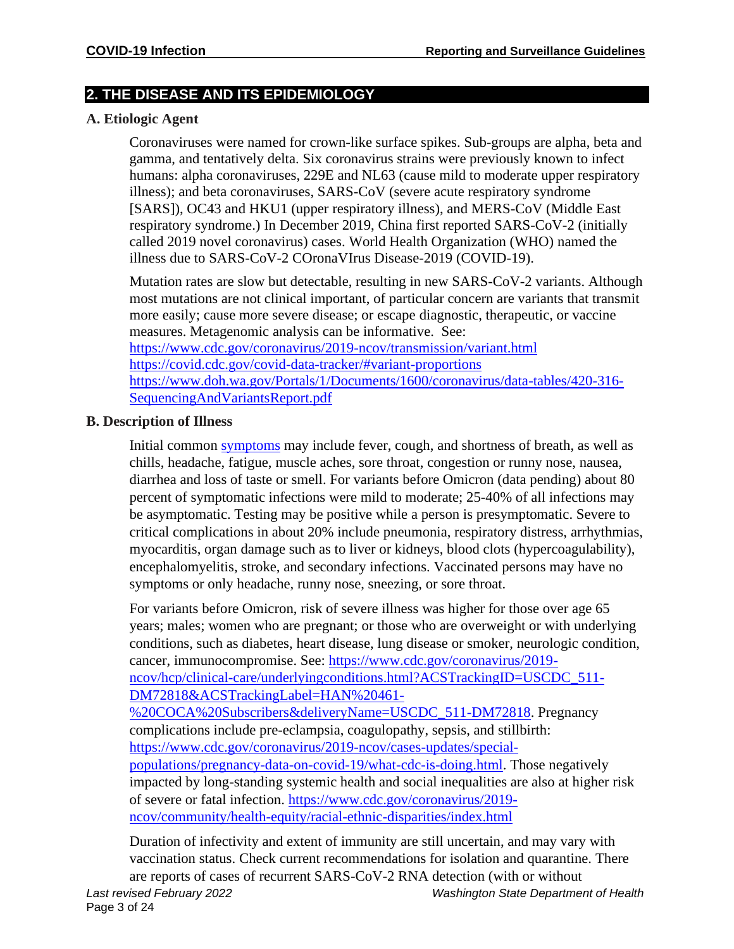# **2. THE DISEASE AND ITS EPIDEMIOLOGY**

#### **A. Etiologic Agent**

Coronaviruses were named for crown-like surface spikes. Sub-groups are alpha, beta and gamma, and tentatively delta. Six coronavirus strains were previously known to infect humans: alpha coronaviruses, 229E and NL63 (cause mild to moderate upper respiratory illness); and beta coronaviruses, SARS-CoV (severe acute respiratory syndrome [SARS]), OC43 and HKU1 (upper respiratory illness), and MERS-CoV (Middle East respiratory syndrome.) In December 2019, China first reported SARS-CoV-2 (initially called 2019 novel coronavirus) cases. World Health Organization (WHO) named the illness due to SARS-CoV-2 COronaVIrus Disease-2019 (COVID-19).

Mutation rates are slow but detectable, resulting in new SARS-CoV-2 variants. Although most mutations are not clinical important, of particular concern are variants that transmit more easily; cause more severe disease; or escape diagnostic, therapeutic, or vaccine measures. Metagenomic analysis can be informative. See:

<https://www.cdc.gov/coronavirus/2019-ncov/transmission/variant.html> <https://covid.cdc.gov/covid-data-tracker/#variant-proportions> [https://www.doh.wa.gov/Portals/1/Documents/1600/coronavirus/data-tables/420-316-](https://www.doh.wa.gov/Portals/1/Documents/1600/coronavirus/data-tables/420-316-SequencingAndVariantsReport.pdf) [SequencingAndVariantsReport.pdf](https://www.doh.wa.gov/Portals/1/Documents/1600/coronavirus/data-tables/420-316-SequencingAndVariantsReport.pdf) 

# **B. Description of Illness**

Initial common [symptoms](https://www.cdc.gov/coronavirus/2019-ncov/symptoms-testing/symptoms.html) may include fever, cough, and shortness of breath, as well as chills, headache, fatigue, muscle aches, sore throat, congestion or runny nose, nausea, diarrhea and loss of taste or smell. For variants before Omicron (data pending) about 80 percent of symptomatic infections were mild to moderate; 25-40% of all infections may be asymptomatic. Testing may be positive while a person is presymptomatic. Severe to critical complications in about 20% include pneumonia, respiratory distress, arrhythmias, myocarditis, organ damage such as to liver or kidneys, blood clots (hypercoagulability), encephalomyelitis, stroke, and secondary infections. Vaccinated persons may have no symptoms or only headache, runny nose, sneezing, or sore throat.

For variants before Omicron, risk of severe illness was higher for those over age 65 years; males; women who are pregnant; or those who are overweight or with underlying conditions, such as diabetes, heart disease, lung disease or smoker, neurologic condition, cancer, immunocompromise. See: [https://www.cdc.gov/coronavirus/2019](https://www.cdc.gov/coronavirus/2019-ncov/hcp/clinical-care/underlyingconditions.html?ACSTrackingID=USCDC_511-DM72818&ACSTrackingLabel=HAN%20461-%20COCA%20Subscribers&deliveryName=USCDC_511-DM72818) [ncov/hcp/clinical-care/underlyingconditions.html?ACSTrackingID=USCDC\\_511-](https://www.cdc.gov/coronavirus/2019-ncov/hcp/clinical-care/underlyingconditions.html?ACSTrackingID=USCDC_511-DM72818&ACSTrackingLabel=HAN%20461-%20COCA%20Subscribers&deliveryName=USCDC_511-DM72818) [DM72818&ACSTrackingLabel=HAN%20461-](https://www.cdc.gov/coronavirus/2019-ncov/hcp/clinical-care/underlyingconditions.html?ACSTrackingID=USCDC_511-DM72818&ACSTrackingLabel=HAN%20461-%20COCA%20Subscribers&deliveryName=USCDC_511-DM72818) [%20COCA%20Subscribers&deliveryName=USCDC\\_511-DM72818.](https://www.cdc.gov/coronavirus/2019-ncov/hcp/clinical-care/underlyingconditions.html?ACSTrackingID=USCDC_511-DM72818&ACSTrackingLabel=HAN%20461-%20COCA%20Subscribers&deliveryName=USCDC_511-DM72818) Pregnancy complications include pre-eclampsia, coagulopathy, sepsis, and stillbirth: [https://www.cdc.gov/coronavirus/2019-ncov/cases-updates/special](https://www.cdc.gov/coronavirus/2019-ncov/cases-updates/special-populations/pregnancy-data-on-covid-19/what-cdc-is-doing.html)[populations/pregnancy-data-on-covid-19/what-cdc-is-doing.html.](https://www.cdc.gov/coronavirus/2019-ncov/cases-updates/special-populations/pregnancy-data-on-covid-19/what-cdc-is-doing.html) Those negatively impacted by long-standing systemic health and social inequalities are also at higher risk of severe or fatal infection. [https://www.cdc.gov/coronavirus/2019](https://www.cdc.gov/coronavirus/2019-ncov/community/health-equity/racial-ethnic-disparities/index.html) [ncov/community/health-equity/racial-ethnic-disparities/index.html](https://www.cdc.gov/coronavirus/2019-ncov/community/health-equity/racial-ethnic-disparities/index.html)

Duration of infectivity and extent of immunity are still uncertain, and may vary with vaccination status. Check current recommendations for isolation and quarantine. There are reports of cases of recurrent SARS-CoV-2 RNA detection (with or without

*Last revised February 2022 Washington State Department of Health*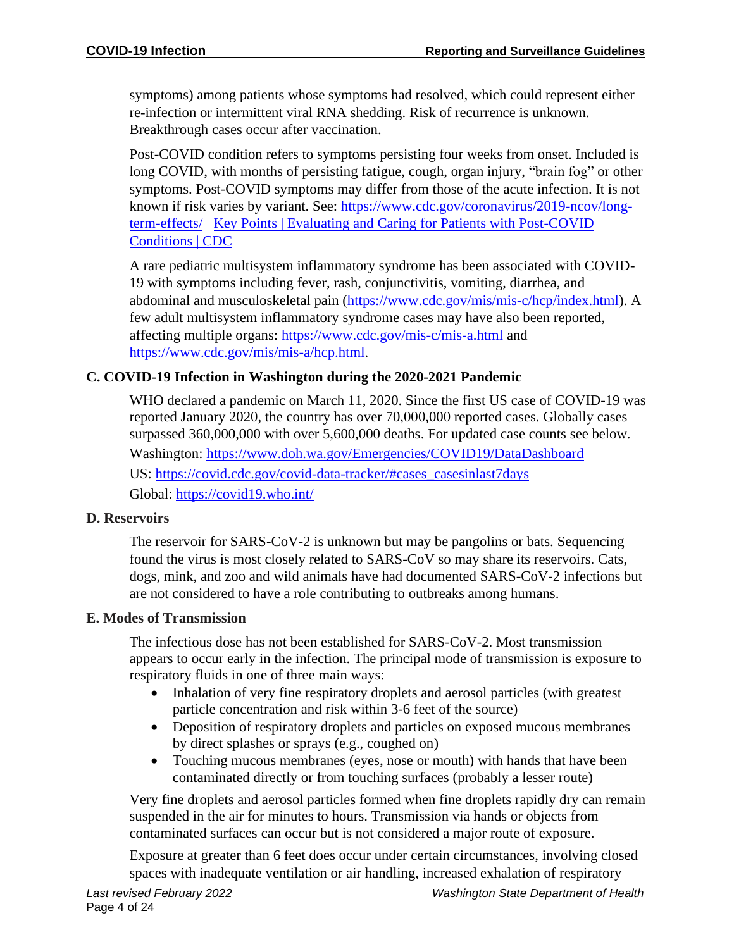symptoms) among patients whose symptoms had resolved, which could represent either re-infection or intermittent viral RNA shedding. Risk of recurrence is unknown. Breakthrough cases occur after vaccination.

Post-COVID condition refers to symptoms persisting four weeks from onset. Included is long COVID, with months of persisting fatigue, cough, organ injury, "brain fog" or other symptoms. Post-COVID symptoms may differ from those of the acute infection. It is not known if risk varies by variant. See: [https://www.cdc.gov/coronavirus/2019-ncov/long](https://www.cdc.gov/coronavirus/2019-ncov/long-term-effects/)[term-effects/](https://www.cdc.gov/coronavirus/2019-ncov/long-term-effects/) [Key Points | Evaluating and Caring for Patients with Post-COVID](https://www.cdc.gov/coronavirus/2019-ncov/hcp/clinical-care/post-covid-index.html?ACSTrackingID=USCDC_1052-DM59745&ACSTrackingLabel=COCA%20Now%3A%20Evaluating%20and%20Caring%20for%20Patients%20with%20Post-COVID%20Conditions%3A%20%20Interim%20Guidance&deliveryName=USCDC_1052-DM59745)  [Conditions | CDC](https://www.cdc.gov/coronavirus/2019-ncov/hcp/clinical-care/post-covid-index.html?ACSTrackingID=USCDC_1052-DM59745&ACSTrackingLabel=COCA%20Now%3A%20Evaluating%20and%20Caring%20for%20Patients%20with%20Post-COVID%20Conditions%3A%20%20Interim%20Guidance&deliveryName=USCDC_1052-DM59745)

A rare pediatric multisystem inflammatory syndrome has been associated with COVID-19 with symptoms including fever, rash, conjunctivitis, vomiting, diarrhea, and abdominal and musculoskeletal pain [\(https://www.cdc.gov/mis/mis-c/hcp/index.html\)](https://www.cdc.gov/mis/mis-c/hcp/index.html). A few adult multisystem inflammatory syndrome cases may have also been reported, affecting multiple organs:<https://www.cdc.gov/mis-c/mis-a.html> and [https://www.cdc.gov/mis/mis-a/hcp.html.](https://www.cdc.gov/mis/mis-a/hcp.html)

#### **C. COVID-19 Infection in Washington during the 2020-2021 Pandemic**

WHO declared a pandemic on March 11, 2020. Since the first US case of COVID-19 was reported January 2020, the country has over 70,000,000 reported cases. Globally cases surpassed 360,000,000 with over 5,600,000 deaths. For updated case counts see below. Washington:<https://www.doh.wa.gov/Emergencies/COVID19/DataDashboard> US: [https://covid.cdc.gov/covid-data-tracker/#cases\\_casesinlast7days](https://covid.cdc.gov/covid-data-tracker/#cases_casesinlast7days) Global: <https://covid19.who.int/>

#### **D. Reservoirs**

The reservoir for SARS-CoV-2 is unknown but may be pangolins or bats. Sequencing found the virus is most closely related to SARS-CoV so may share its reservoirs. Cats, dogs, mink, and zoo and wild animals have had documented SARS-CoV-2 infections but are not considered to have a role contributing to outbreaks among humans.

#### **E. Modes of Transmission**

The infectious dose has not been established for SARS-CoV-2. Most transmission appears to occur early in the infection. The principal mode of transmission is exposure to respiratory fluids in one of three main ways:

- Inhalation of very fine respiratory droplets and aerosol particles (with greatest particle concentration and risk within 3-6 feet of the source)
- Deposition of respiratory droplets and particles on exposed mucous membranes by direct splashes or sprays (e.g., coughed on)
- Touching mucous membranes (eyes, nose or mouth) with hands that have been contaminated directly or from touching surfaces (probably a lesser route)

Very fine droplets and aerosol particles formed when fine droplets rapidly dry can remain suspended in the air for minutes to hours. Transmission via hands or objects from contaminated surfaces can occur but is not considered a major route of exposure.

Exposure at greater than 6 feet does occur under certain circumstances, involving closed spaces with inadequate ventilation or air handling, increased exhalation of respiratory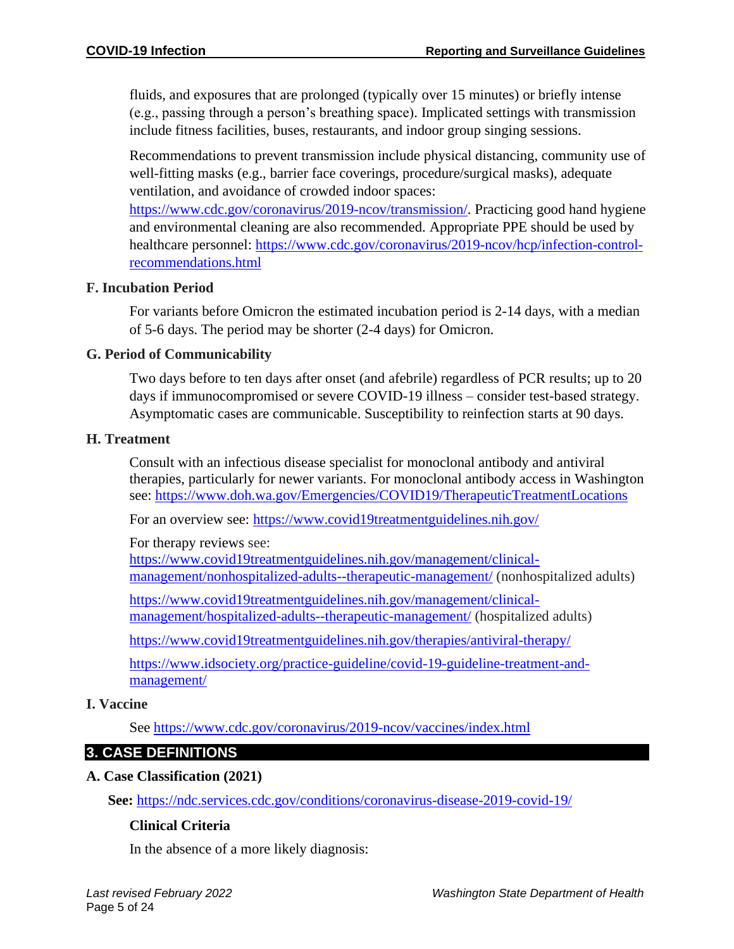fluids, and exposures that are prolonged (typically over 15 minutes) or briefly intense (e.g., passing through a person's breathing space). Implicated settings with transmission include fitness facilities, buses, restaurants, and indoor group singing sessions.

Recommendations to prevent transmission include physical distancing, community use of well-fitting masks (e.g., barrier face coverings, procedure/surgical masks), adequate ventilation, and avoidance of crowded indoor spaces:

[https://www.cdc.gov/coronavirus/2019-ncov/transmission/.](https://www.cdc.gov/coronavirus/2019-ncov/transmission/) Practicing good hand hygiene and environmental cleaning are also recommended. Appropriate PPE should be used by healthcare personnel: [https://www.cdc.gov/coronavirus/2019-ncov/hcp/infection-control](https://www.cdc.gov/coronavirus/2019-ncov/hcp/infection-control-recommendations.html)[recommendations.html](https://www.cdc.gov/coronavirus/2019-ncov/hcp/infection-control-recommendations.html)

#### **F. Incubation Period**

For variants before Omicron the estimated incubation period is 2-14 days, with a median of 5-6 days. The period may be shorter (2-4 days) for Omicron.

#### **G. Period of Communicability**

Two days before to ten days after onset (and afebrile) regardless of PCR results; up to 20 days if immunocompromised or severe COVID-19 illness – consider test-based strategy. Asymptomatic cases are communicable. Susceptibility to reinfection starts at 90 days.

#### **H. Treatment**

Consult with an infectious disease specialist for monoclonal antibody and antiviral therapies, particularly for newer variants. For monoclonal antibody access in Washington see: <https://www.doh.wa.gov/Emergencies/COVID19/TherapeuticTreatmentLocations>

For an overview see:<https://www.covid19treatmentguidelines.nih.gov/>

For therapy reviews see: [https://www.covid19treatmentguidelines.nih.gov/management/clinical](https://www.covid19treatmentguidelines.nih.gov/management/clinical-management/nonhospitalized-adults--therapeutic-management/)[management/nonhospitalized-adults--therapeutic-management/](https://www.covid19treatmentguidelines.nih.gov/management/clinical-management/nonhospitalized-adults--therapeutic-management/) (nonhospitalized adults)

[https://www.covid19treatmentguidelines.nih.gov/management/clinical](https://www.covid19treatmentguidelines.nih.gov/management/clinical-management/hospitalized-adults--therapeutic-management/)[management/hospitalized-adults--therapeutic-management/](https://www.covid19treatmentguidelines.nih.gov/management/clinical-management/hospitalized-adults--therapeutic-management/) (hospitalized adults)

<https://www.covid19treatmentguidelines.nih.gov/therapies/antiviral-therapy/>

[https://www.idsociety.org/practice-guideline/covid-19-guideline-treatment-and](https://www.idsociety.org/practice-guideline/covid-19-guideline-treatment-and-management/)[management/](https://www.idsociety.org/practice-guideline/covid-19-guideline-treatment-and-management/)

# **I. Vaccine**

See<https://www.cdc.gov/coronavirus/2019-ncov/vaccines/index.html>

# **3. CASE DEFINITIONS**

# **A. Case Classification (2021)**

**See:** <https://ndc.services.cdc.gov/conditions/coronavirus-disease-2019-covid-19/>

#### **Clinical Criteria**

In the absence of a more likely diagnosis: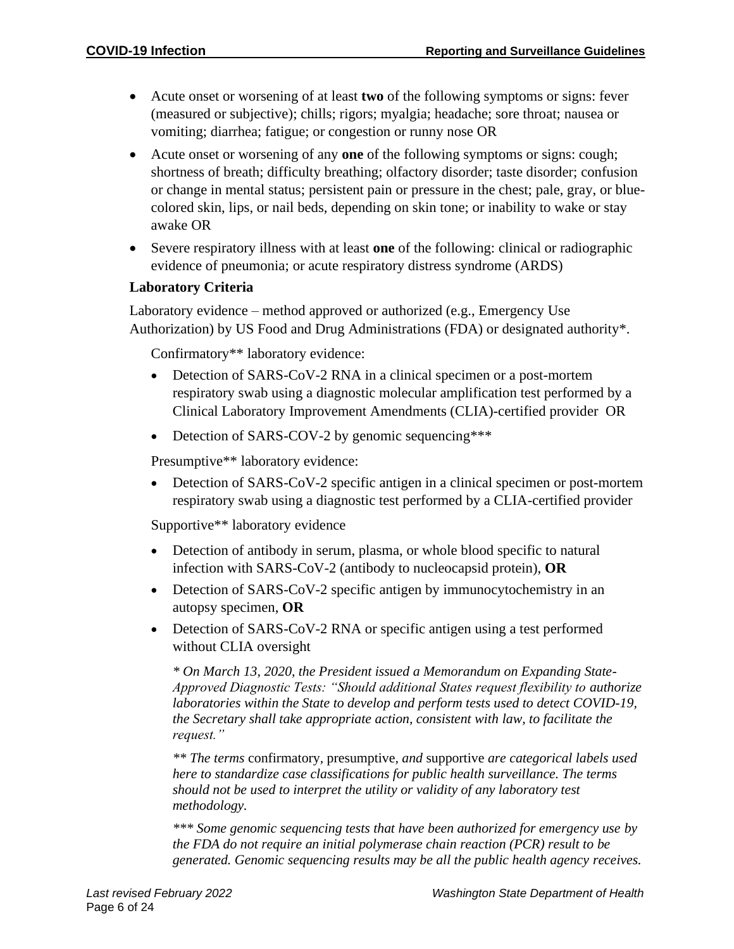- Acute onset or worsening of at least **two** of the following symptoms or signs: fever (measured or subjective); chills; rigors; myalgia; headache; sore throat; nausea or vomiting; diarrhea; fatigue; or congestion or runny nose OR
- Acute onset or worsening of any **one** of the following symptoms or signs: cough; shortness of breath; difficulty breathing; olfactory disorder; taste disorder; confusion or change in mental status; persistent pain or pressure in the chest; pale, gray, or bluecolored skin, lips, or nail beds, depending on skin tone; or inability to wake or stay awake OR
- Severe respiratory illness with at least **one** of the following: clinical or radiographic evidence of pneumonia; or acute respiratory distress syndrome (ARDS)

# **Laboratory Criteria**

Laboratory evidence – method approved or authorized (e.g., Emergency Use Authorization) by US Food and Drug Administrations (FDA) or designated authority\*.

Confirmatory\*\* laboratory evidence:

- Detection of SARS-CoV-2 RNA in a clinical specimen or a post-mortem respiratory swab using a diagnostic molecular amplification test performed by a Clinical Laboratory Improvement Amendments (CLIA)-certified provider OR
- Detection of SARS-COV-2 by genomic sequencing\*\*\*

Presumptive\*\* laboratory evidence:

• Detection of SARS-CoV-2 specific antigen in a clinical specimen or post-mortem respiratory swab using a diagnostic test performed by a CLIA-certified provider

Supportive\*\* laboratory evidence

- Detection of antibody in serum, plasma, or whole blood specific to natural infection with SARS-CoV-2 (antibody to nucleocapsid protein), **OR**
- Detection of SARS-CoV-2 specific antigen by immunocytochemistry in an autopsy specimen, **OR**
- Detection of SARS-CoV-2 RNA or specific antigen using a test performed without CLIA oversight

*\* On March 13, 2020, the President issued a Memorandum on Expanding State-Approved Diagnostic Tests: "Should additional States request flexibility to authorize laboratories within the State to develop and perform tests used to detect COVID-19, the Secretary shall take appropriate action, consistent with law, to facilitate the request."*

*\*\* The terms* confirmatory*,* presumptive*, and* supportive *are categorical labels used here to standardize case classifications for public health surveillance. The terms should not be used to interpret the utility or validity of any laboratory test methodology.*

*\*\*\* Some genomic sequencing tests that have been authorized for emergency use by the FDA do not require an initial polymerase chain reaction (PCR) result to be generated. Genomic sequencing results may be all the public health agency receives.*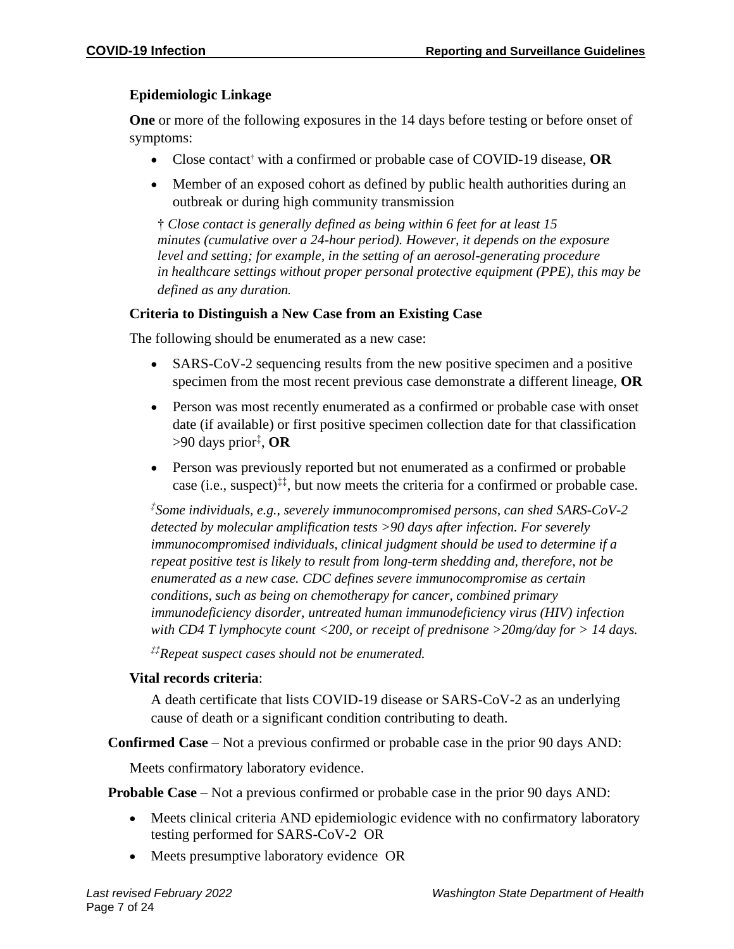# **Epidemiologic Linkage**

**One** or more of the following exposures in the 14 days before testing or before onset of symptoms:

- Close contact† with a confirmed or probable case of COVID-19 disease, **OR**
- Member of an exposed cohort as defined by public health authorities during an outbreak or during high community transmission

† *Close contact is generally defined as being within 6 feet for at least 15 minutes (cumulative over a 24-hour period). However, it depends on the exposure level and setting; for example, in the setting of an aerosol-generating procedure in healthcare settings without proper personal protective equipment (PPE), this may be defined as any duration.*

# **Criteria to Distinguish a New Case from an Existing Case**

The following should be enumerated as a new case:

- SARS-CoV-2 sequencing results from the new positive specimen and a positive specimen from the most recent previous case demonstrate a different lineage, **OR**
- Person was most recently enumerated as a confirmed or probable case with onset date (if available) or first positive specimen collection date for that classification >90 days prior‡ , **OR**
- Person was previously reported but not enumerated as a confirmed or probable case (i.e., suspect)<sup>‡‡</sup>, but now meets the criteria for a confirmed or probable case.

*‡ Some individuals, e.g., severely immunocompromised persons, can shed SARS-CoV-2 detected by molecular amplification tests >90 days after infection. For severely immunocompromised individuals, clinical judgment should be used to determine if a repeat positive test is likely to result from long-term shedding and, therefore, not be enumerated as a new case. CDC defines severe immunocompromise as certain conditions, such as being on chemotherapy for cancer, combined primary immunodeficiency disorder, untreated human immunodeficiency virus (HIV) infection with CD4 T lymphocyte count <200, or receipt of prednisone >20mg/day for > 14 days.*

*‡‡Repeat suspect cases should not be enumerated.*

# **Vital records criteria**:

A death certificate that lists COVID-19 disease or SARS-CoV-2 as an underlying cause of death or a significant condition contributing to death.

**Confirmed Case** – Not a previous confirmed or probable case in the prior 90 days AND:

Meets confirmatory laboratory evidence.

**Probable Case** – Not a previous confirmed or probable case in the prior 90 days AND:

- Meets clinical criteria AND epidemiologic evidence with no confirmatory laboratory testing performed for SARS-CoV-2 OR
- Meets presumptive laboratory evidence OR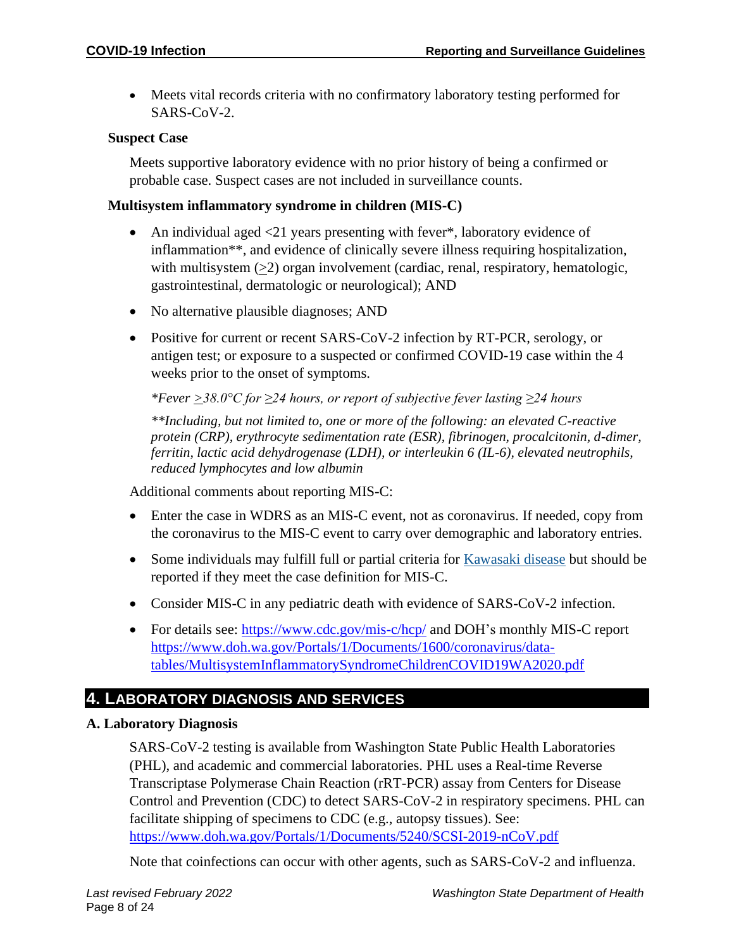• Meets vital records criteria with no confirmatory laboratory testing performed for SARS-CoV-2.

#### **Suspect Case**

Meets supportive laboratory evidence with no prior history of being a confirmed or probable case. Suspect cases are not included in surveillance counts.

#### **Multisystem inflammatory syndrome in children (MIS-C)**

- An individual aged <21 years presenting with fever\*, laboratory evidence of inflammation\*\*, and evidence of clinically severe illness requiring hospitalization, with multisystem  $(≥2)$  organ involvement (cardiac, renal, respiratory, hematologic, gastrointestinal, dermatologic or neurological); AND
- No alternative plausible diagnoses; AND
- Positive for current or recent SARS-CoV-2 infection by RT-PCR, serology, or antigen test; or exposure to a suspected or confirmed COVID-19 case within the 4 weeks prior to the onset of symptoms.

*\*Fever >38.0°C for ≥24 hours, or report of subjective fever lasting ≥24 hours*

*\*\*Including, but not limited to, one or more of the following: an elevated C-reactive protein (CRP), erythrocyte sedimentation rate (ESR), fibrinogen, procalcitonin, d-dimer, ferritin, lactic acid dehydrogenase (LDH), or interleukin 6 (IL-6), elevated neutrophils, reduced lymphocytes and low albumin*

Additional comments about reporting MIS-C:

- Enter the case in WDRS as an MIS-C event, not as coronavirus. If needed, copy from the coronavirus to the MIS-C event to carry over demographic and laboratory entries.
- Some individuals may fulfill full or partial criteria for [Kawasaki disease](https://www.cdc.gov/kawasaki/index.html) but should be reported if they meet the case definition for MIS-C.
- Consider MIS-C in any pediatric death with evidence of SARS-CoV-2 infection.
- For details see:<https://www.cdc.gov/mis-c/hcp/> and DOH's monthly MIS-C report [https://www.doh.wa.gov/Portals/1/Documents/1600/coronavirus/data](https://gcc02.safelinks.protection.outlook.com/?url=https%3A%2F%2Fwww.doh.wa.gov%2FPortals%2F1%2FDocuments%2F1600%2Fcoronavirus%2Fdata-tables%2FMultisystemInflammatorySyndromeChildrenCOVID19WA2020.pdf&data=04%7C01%7CMarcia.Goldoft%40DOH.WA.GOV%7Ceec8c3d6214b4f87534b08d910af3315%7C11d0e217264e400a8ba057dcc127d72d%7C0%7C0%7C637559166919593380%7CUnknown%7CTWFpbGZsb3d8eyJWIjoiMC4wLjAwMDAiLCJQIjoiV2luMzIiLCJBTiI6Ik1haWwiLCJXVCI6Mn0%3D%7C1000&sdata=bCY5Y3uEZRRctn3bCDkMhCtyL3V6WpAJ0DyZjBh5lXc%3D&reserved=0)[tables/MultisystemInflammatorySyndromeChildrenCOVID19WA2020.pdf](https://gcc02.safelinks.protection.outlook.com/?url=https%3A%2F%2Fwww.doh.wa.gov%2FPortals%2F1%2FDocuments%2F1600%2Fcoronavirus%2Fdata-tables%2FMultisystemInflammatorySyndromeChildrenCOVID19WA2020.pdf&data=04%7C01%7CMarcia.Goldoft%40DOH.WA.GOV%7Ceec8c3d6214b4f87534b08d910af3315%7C11d0e217264e400a8ba057dcc127d72d%7C0%7C0%7C637559166919593380%7CUnknown%7CTWFpbGZsb3d8eyJWIjoiMC4wLjAwMDAiLCJQIjoiV2luMzIiLCJBTiI6Ik1haWwiLCJXVCI6Mn0%3D%7C1000&sdata=bCY5Y3uEZRRctn3bCDkMhCtyL3V6WpAJ0DyZjBh5lXc%3D&reserved=0)

# **4. LABORATORY DIAGNOSIS AND SERVICES**

#### **A. Laboratory Diagnosis**

SARS-CoV-2 testing is available from Washington State Public Health Laboratories (PHL), and academic and commercial laboratories. PHL uses a Real-time Reverse Transcriptase Polymerase Chain Reaction (rRT-PCR) assay from Centers for Disease Control and Prevention (CDC) to detect SARS-CoV-2 in respiratory specimens. PHL can facilitate shipping of specimens to CDC (e.g., autopsy tissues). See: <https://www.doh.wa.gov/Portals/1/Documents/5240/SCSI-2019-nCoV.pdf>

Note that coinfections can occur with other agents, such as SARS-CoV-2 and influenza.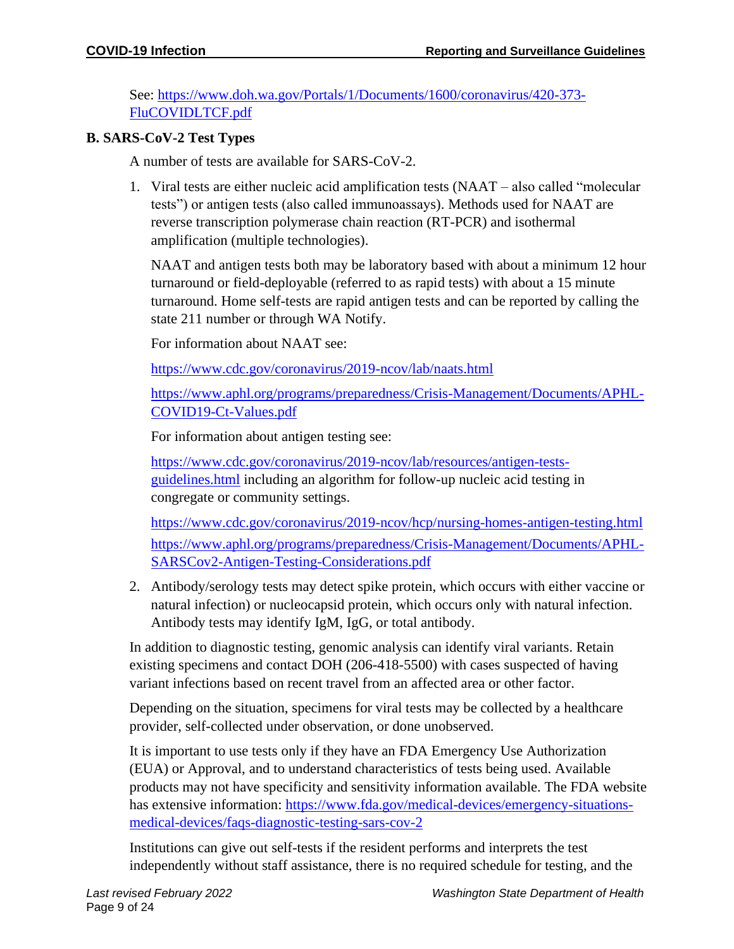See: [https://www.doh.wa.gov/Portals/1/Documents/1600/coronavirus/420-373-](https://www.doh.wa.gov/Portals/1/Documents/1600/coronavirus/420-373-FluCOVIDLTCF.pdf) [FluCOVIDLTCF.pdf](https://www.doh.wa.gov/Portals/1/Documents/1600/coronavirus/420-373-FluCOVIDLTCF.pdf)

#### **B. SARS-CoV-2 Test Types**

A number of tests are available for SARS-CoV-2.

1. Viral tests are either nucleic acid amplification tests (NAAT – also called "molecular tests") or antigen tests (also called immunoassays). Methods used for NAAT are reverse transcription polymerase chain reaction (RT-PCR) and isothermal amplification (multiple technologies).

NAAT and antigen tests both may be laboratory based with about a minimum 12 hour turnaround or field-deployable (referred to as rapid tests) with about a 15 minute turnaround. Home self-tests are rapid antigen tests and can be reported by calling the state 211 number or through WA Notify.

For information about NAAT see:

<https://www.cdc.gov/coronavirus/2019-ncov/lab/naats.html>

[https://www.aphl.org/programs/preparedness/Crisis-Management/Documents/APHL-](https://www.aphl.org/programs/preparedness/Crisis-Management/Documents/APHL-COVID19-Ct-Values.pdf)[COVID19-Ct-Values.pdf](https://www.aphl.org/programs/preparedness/Crisis-Management/Documents/APHL-COVID19-Ct-Values.pdf)

For information about antigen testing see:

[https://www.cdc.gov/coronavirus/2019-ncov/lab/resources/antigen-tests](https://www.cdc.gov/coronavirus/2019-ncov/lab/resources/antigen-tests-guidelines.html)[guidelines.html](https://www.cdc.gov/coronavirus/2019-ncov/lab/resources/antigen-tests-guidelines.html) including an algorithm for follow-up nucleic acid testing in congregate or community settings.

<https://www.cdc.gov/coronavirus/2019-ncov/hcp/nursing-homes-antigen-testing.html> [https://www.aphl.org/programs/preparedness/Crisis-Management/Documents/APHL-](https://www.aphl.org/programs/preparedness/Crisis-Management/Documents/APHL-SARSCov2-Antigen-Testing-Considerations.pdf)[SARSCov2-Antigen-Testing-Considerations.pdf](https://www.aphl.org/programs/preparedness/Crisis-Management/Documents/APHL-SARSCov2-Antigen-Testing-Considerations.pdf)

2. Antibody/serology tests may detect spike protein, which occurs with either vaccine or natural infection) or nucleocapsid protein, which occurs only with natural infection. Antibody tests may identify IgM, IgG, or total antibody.

In addition to diagnostic testing, genomic analysis can identify viral variants. Retain existing specimens and contact DOH (206-418-5500) with cases suspected of having variant infections based on recent travel from an affected area or other factor.

Depending on the situation, specimens for viral tests may be collected by a healthcare provider, self-collected under observation, or done unobserved.

It is important to use tests only if they have an FDA Emergency Use Authorization (EUA) or Approval, and to understand characteristics of tests being used. Available products may not have specificity and sensitivity information available. The FDA website has extensive information: [https://www.fda.gov/medical-devices/emergency-situations](https://www.fda.gov/medical-devices/emergency-situations-medical-devices/faqs-diagnostic-testing-sars-cov-2)[medical-devices/faqs-diagnostic-testing-sars-cov-2](https://www.fda.gov/medical-devices/emergency-situations-medical-devices/faqs-diagnostic-testing-sars-cov-2)

Institutions can give out self-tests if the resident performs and interprets the test independently without staff assistance, there is no required schedule for testing, and the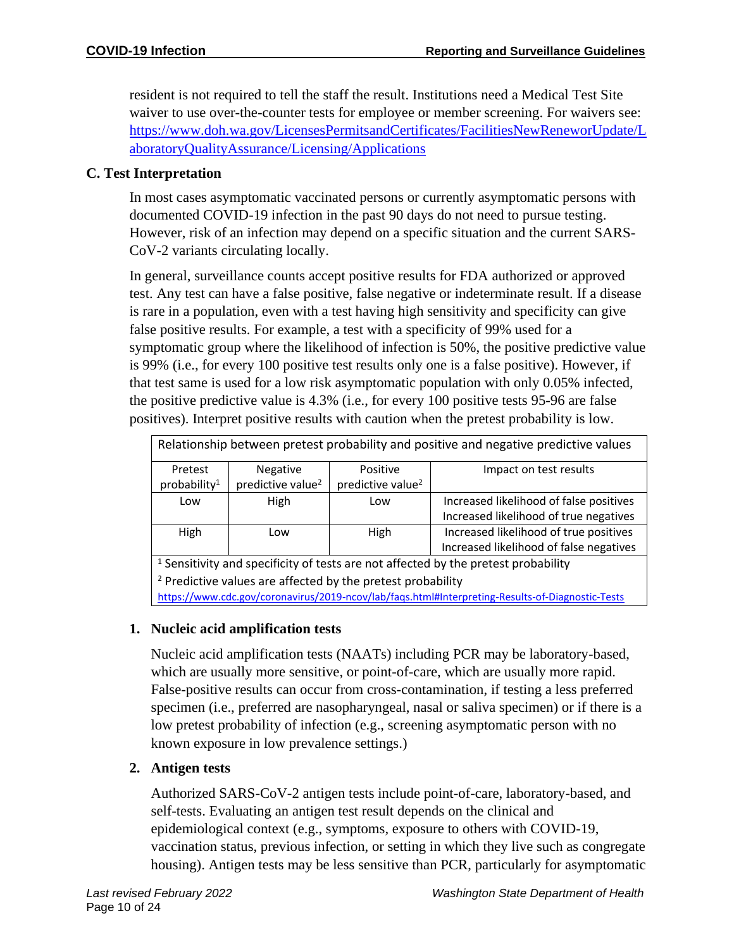resident is not required to tell the staff the result. Institutions need a Medical Test Site waiver to use over-the-counter tests for employee or member screening. For waivers see: [https://www.doh.wa.gov/LicensesPermitsandCertificates/FacilitiesNewReneworUpdate/L](https://www.doh.wa.gov/LicensesPermitsandCertificates/FacilitiesNewReneworUpdate/LaboratoryQualityAssurance/Licensing/Applications) [aboratoryQualityAssurance/Licensing/Applications](https://www.doh.wa.gov/LicensesPermitsandCertificates/FacilitiesNewReneworUpdate/LaboratoryQualityAssurance/Licensing/Applications)

#### **C. Test Interpretation**

In most cases asymptomatic vaccinated persons or currently asymptomatic persons with documented COVID-19 infection in the past 90 days do not need to pursue testing. However, risk of an infection may depend on a specific situation and the current SARS-CoV-2 variants circulating locally.

In general, surveillance counts accept positive results for FDA authorized or approved test. Any test can have a false positive, false negative or indeterminate result. If a disease is rare in a population, even with a test having high sensitivity and specificity can give false positive results. For example, a test with a specificity of 99% used for a symptomatic group where the likelihood of infection is 50%, the positive predictive value is 99% (i.e., for every 100 positive test results only one is a false positive). However, if that test same is used for a low risk asymptomatic population with only 0.05% infected, the positive predictive value is 4.3% (i.e., for every 100 positive tests 95-96 are false positives). Interpret positive results with caution when the pretest probability is low.

| Relationship between pretest probability and positive and negative predictive values          |                               |                               |                                         |  |
|-----------------------------------------------------------------------------------------------|-------------------------------|-------------------------------|-----------------------------------------|--|
| Pretest                                                                                       | <b>Negative</b>               | Positive                      | Impact on test results                  |  |
| probability <sup>1</sup>                                                                      | predictive value <sup>2</sup> | predictive value <sup>2</sup> |                                         |  |
| Low                                                                                           | <b>High</b>                   | Low                           | Increased likelihood of false positives |  |
|                                                                                               |                               |                               | Increased likelihood of true negatives  |  |
| High                                                                                          | Low                           | High                          | Increased likelihood of true positives  |  |
|                                                                                               |                               |                               | Increased likelihood of false negatives |  |
| <sup>1</sup> Sensitivity and specificity of tests are not affected by the pretest probability |                               |                               |                                         |  |

and specificity of tests are not affected by the pretest probability  $2$  Predictive values are affected by the pretest probability <https://www.cdc.gov/coronavirus/2019-ncov/lab/faqs.html#Interpreting-Results-of-Diagnostic-Tests>

# **1. Nucleic acid amplification tests**

Nucleic acid amplification tests (NAATs) including PCR may be laboratory-based, which are usually more sensitive, or point-of-care, which are usually more rapid. False-positive results can occur from cross-contamination, if testing a less preferred specimen (i.e., preferred are nasopharyngeal, nasal or saliva specimen) or if there is a low pretest probability of infection (e.g., screening asymptomatic person with no known exposure in low prevalence settings.)

# **2. Antigen tests**

Authorized SARS-CoV-2 antigen tests include point-of-care, laboratory-based, and self-tests. Evaluating an antigen test result depends on the clinical and epidemiological context (e.g., symptoms, exposure to others with COVID-19, vaccination status, previous infection, or setting in which they live such as congregate housing). Antigen tests may be less sensitive than PCR, particularly for asymptomatic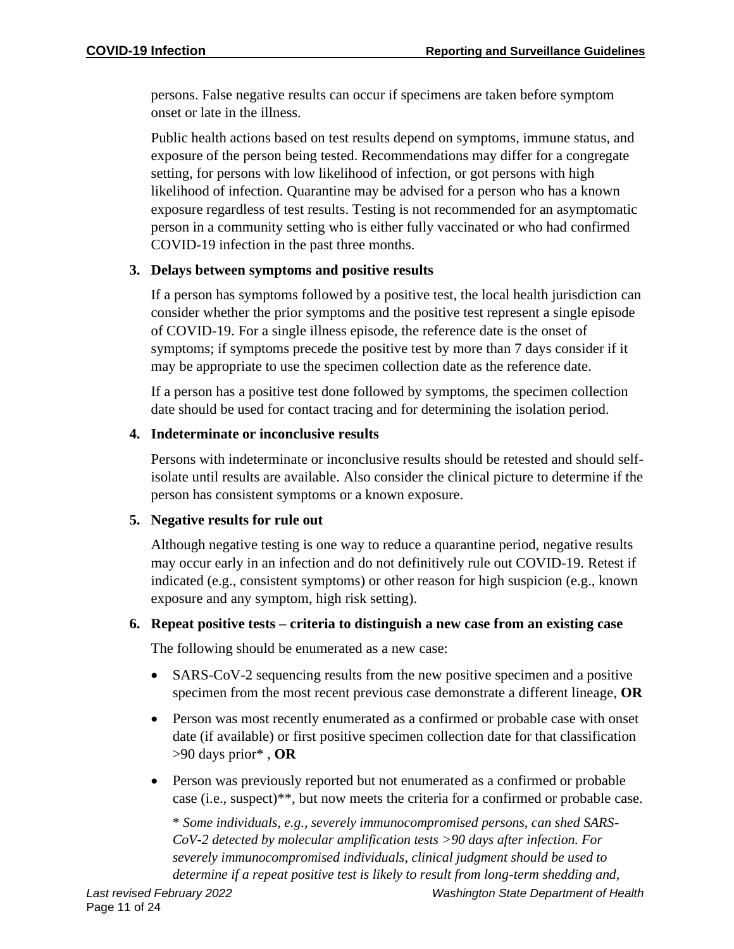persons. False negative results can occur if specimens are taken before symptom onset or late in the illness.

Public health actions based on test results depend on symptoms, immune status, and exposure of the person being tested. Recommendations may differ for a congregate setting, for persons with low likelihood of infection, or got persons with high likelihood of infection. Quarantine may be advised for a person who has a known exposure regardless of test results. Testing is not recommended for an asymptomatic person in a community setting who is either fully vaccinated or who had confirmed COVID-19 infection in the past three months.

# **3. Delays between symptoms and positive results**

If a person has symptoms followed by a positive test, the local health jurisdiction can consider whether the prior symptoms and the positive test represent a single episode of COVID-19. For a single illness episode, the reference date is the onset of symptoms; if symptoms precede the positive test by more than 7 days consider if it may be appropriate to use the specimen collection date as the reference date.

If a person has a positive test done followed by symptoms, the specimen collection date should be used for contact tracing and for determining the isolation period.

# **4. Indeterminate or inconclusive results**

Persons with indeterminate or inconclusive results should be retested and should selfisolate until results are available. Also consider the clinical picture to determine if the person has consistent symptoms or a known exposure.

# **5. Negative results for rule out**

Although negative testing is one way to reduce a quarantine period, negative results may occur early in an infection and do not definitively rule out COVID-19. Retest if indicated (e.g., consistent symptoms) or other reason for high suspicion (e.g., known exposure and any symptom, high risk setting).

# **6. Repeat positive tests – criteria to distinguish a new case from an existing case**

The following should be enumerated as a new case:

- SARS-CoV-2 sequencing results from the new positive specimen and a positive specimen from the most recent previous case demonstrate a different lineage, **OR**
- Person was most recently enumerated as a confirmed or probable case with onset date (if available) or first positive specimen collection date for that classification >90 days prior\* , **OR**
- Person was previously reported but not enumerated as a confirmed or probable case (i.e., suspect)\*\*, but now meets the criteria for a confirmed or probable case.

\* *Some individuals, e.g., severely immunocompromised persons, can shed SARS-CoV-2 detected by molecular amplification tests >90 days after infection. For severely immunocompromised individuals, clinical judgment should be used to determine if a repeat positive test is likely to result from long-term shedding and,*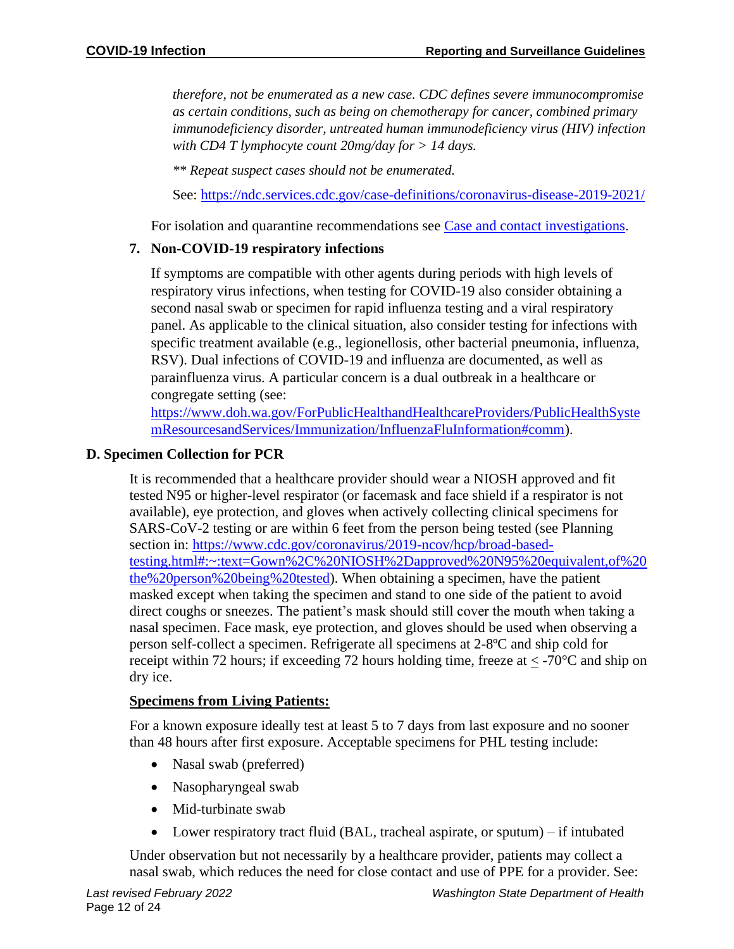*therefore, not be enumerated as a new case. CDC defines severe immunocompromise as certain conditions, such as being on chemotherapy for cancer, combined primary immunodeficiency disorder, untreated human immunodeficiency virus (HIV) infection with CD4 T lymphocyte count 20mg/day for > 14 days.*

*\*\* Repeat suspect cases should not be enumerated.*

See:<https://ndc.services.cdc.gov/case-definitions/coronavirus-disease-2019-2021/>

For isolation and quarantine recommendations see [Case and contact investigations.](https://gcc02.safelinks.protection.outlook.com/?url=https%3A%2F%2Fwww.doh.wa.gov%2FPortals%2F1%2FDocuments%2F5100%2F420-107-Guidance-COVID-19-Case%26ContactInvestigation.pdf&data=04%7C01%7Channah.schnitzler%40doh.wa.gov%7Cd0be806b624949490ca808d8ee2e228e%7C11d0e217264e400a8ba057dcc127d72d%7C0%7C0%7C637521229197063884%7CUnknown%7CTWFpbGZsb3d8eyJWIjoiMC4wLjAwMDAiLCJQIjoiV2luMzIiLCJBTiI6Ik1haWwiLCJXVCI6Mn0%3D%7C1000&sdata=PYxrjHXYzaS%2FyLVYOqfYtnSaxGm%2Feo7lK3waU2BH6Os%3D&reserved=0)

# **7. Non-COVID-19 respiratory infections**

If symptoms are compatible with other agents during periods with high levels of respiratory virus infections, when testing for COVID-19 also consider obtaining a second nasal swab or specimen for rapid influenza testing and a viral respiratory panel. As applicable to the clinical situation, also consider testing for infections with specific treatment available (e.g., legionellosis, other bacterial pneumonia, influenza, RSV). Dual infections of COVID-19 and influenza are documented, as well as parainfluenza virus. A particular concern is a dual outbreak in a healthcare or congregate setting (see:

[https://www.doh.wa.gov/ForPublicHealthandHealthcareProviders/PublicHealthSyste](https://www.doh.wa.gov/ForPublicHealthandHealthcareProviders/PublicHealthSystemResourcesandServices/Immunization/InfluenzaFluInformation#comm) [mResourcesandServices/Immunization/InfluenzaFluInformation#comm\)](https://www.doh.wa.gov/ForPublicHealthandHealthcareProviders/PublicHealthSystemResourcesandServices/Immunization/InfluenzaFluInformation#comm).

#### **D. Specimen Collection for PCR**

It is recommended that a healthcare provider should wear a NIOSH approved and fit tested N95 or higher-level respirator (or facemask and face shield if a respirator is not available), eye protection, and gloves when actively collecting clinical specimens for SARS-CoV-2 testing or are within 6 feet from the person being tested (see Planning section in: [https://www.cdc.gov/coronavirus/2019-ncov/hcp/broad-based](https://www.cdc.gov/coronavirus/2019-ncov/hcp/broad-based-testing.html#:~:text=Gown%2C%20NIOSH%2Dapproved%20N95%20equivalent,of%20the%20person%20being%20tested)[testing.html#:~:text=Gown%2C%20NIOSH%2Dapproved%20N95%20equivalent,of%20](https://www.cdc.gov/coronavirus/2019-ncov/hcp/broad-based-testing.html#:~:text=Gown%2C%20NIOSH%2Dapproved%20N95%20equivalent,of%20the%20person%20being%20tested) [the%20person%20being%20tested\)](https://www.cdc.gov/coronavirus/2019-ncov/hcp/broad-based-testing.html#:~:text=Gown%2C%20NIOSH%2Dapproved%20N95%20equivalent,of%20the%20person%20being%20tested). When obtaining a specimen, have the patient masked except when taking the specimen and stand to one side of the patient to avoid direct coughs or sneezes. The patient's mask should still cover the mouth when taking a nasal specimen. Face mask, eye protection, and gloves should be used when observing a person self-collect a specimen. Refrigerate all specimens at 2-8ºC and ship cold for receipt within 72 hours; if exceeding 72 hours holding time, freeze at  $\lt$  -70 $\degree$ C and ship on dry ice.

# **Specimens from Living Patients:**

For a known exposure ideally test at least 5 to 7 days from last exposure and no sooner than 48 hours after first exposure. Acceptable specimens for PHL testing include:

- Nasal swab (preferred)
- Nasopharyngeal swab
- Mid-turbinate swab
- Lower respiratory tract fluid (BAL, tracheal aspirate, or sputum) if intubated

Under observation but not necessarily by a healthcare provider, patients may collect a nasal swab, which reduces the need for close contact and use of PPE for a provider. See: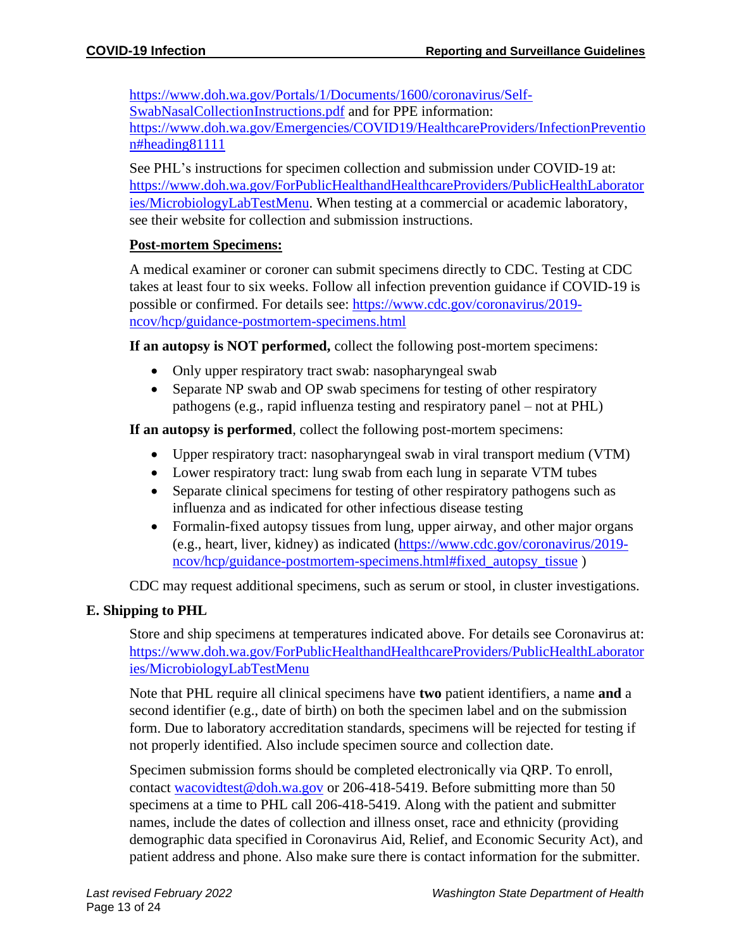[https://www.doh.wa.gov/Portals/1/Documents/1600/coronavirus/Self-](https://www.doh.wa.gov/Portals/1/Documents/1600/coronavirus/Self-SwabNasalCollectionInstructions.pdf)[SwabNasalCollectionInstructions.pdf](https://www.doh.wa.gov/Portals/1/Documents/1600/coronavirus/Self-SwabNasalCollectionInstructions.pdf) and for PPE information: [https://www.doh.wa.gov/Emergencies/COVID19/HealthcareProviders/InfectionPreventio](https://www.doh.wa.gov/Emergencies/COVID19/HealthcareProviders/InfectionPrevention#heading81111) [n#heading81111](https://www.doh.wa.gov/Emergencies/COVID19/HealthcareProviders/InfectionPrevention#heading81111)

See PHL's instructions for specimen collection and submission under COVID-19 at: [https://www.doh.wa.gov/ForPublicHealthandHealthcareProviders/PublicHealthLaborator](https://www.doh.wa.gov/ForPublicHealthandHealthcareProviders/PublicHealthLaboratories/MicrobiologyLabTestMenu) [ies/MicrobiologyLabTestMenu.](https://www.doh.wa.gov/ForPublicHealthandHealthcareProviders/PublicHealthLaboratories/MicrobiologyLabTestMenu) When testing at a commercial or academic laboratory, see their website for collection and submission instructions.

#### **Post-mortem Specimens:**

A medical examiner or coroner can submit specimens directly to CDC. Testing at CDC takes at least four to six weeks. Follow all infection prevention guidance if COVID-19 is possible or confirmed. For details see: [https://www.cdc.gov/coronavirus/2019](https://www.cdc.gov/coronavirus/2019-ncov/hcp/guidance-postmortem-specimens.html) [ncov/hcp/guidance-postmortem-specimens.html](https://www.cdc.gov/coronavirus/2019-ncov/hcp/guidance-postmortem-specimens.html)

**If an autopsy is NOT performed,** collect the following post-mortem specimens:

- Only upper respiratory tract swab: nasopharyngeal swab
- Separate NP swab and OP swab specimens for testing of other respiratory pathogens (e.g., rapid influenza testing and respiratory panel – not at PHL)

**If an autopsy is performed**, collect the following post-mortem specimens:

- Upper respiratory tract: nasopharyngeal swab in viral transport medium (VTM)
- Lower respiratory tract: lung swab from each lung in separate VTM tubes
- Separate clinical specimens for testing of other respiratory pathogens such as influenza and as indicated for other infectious disease testing
- Formalin-fixed autopsy tissues from lung, upper airway, and other major organs (e.g., heart, liver, kidney) as indicated [\(https://www.cdc.gov/coronavirus/2019](https://www.cdc.gov/coronavirus/2019-ncov/hcp/guidance-postmortem-specimens.html#fixed_autopsy_tissue) [ncov/hcp/guidance-postmortem-specimens.html#fixed\\_autopsy\\_tissue](https://www.cdc.gov/coronavirus/2019-ncov/hcp/guidance-postmortem-specimens.html#fixed_autopsy_tissue) )

CDC may request additional specimens, such as serum or stool, in cluster investigations.

# **E. Shipping to PHL**

Store and ship specimens at temperatures indicated above. For details see Coronavirus at: [https://www.doh.wa.gov/ForPublicHealthandHealthcareProviders/PublicHealthLaborator](https://www.doh.wa.gov/ForPublicHealthandHealthcareProviders/PublicHealthLaboratories/MicrobiologyLabTestMenu) [ies/MicrobiologyLabTestMenu](https://www.doh.wa.gov/ForPublicHealthandHealthcareProviders/PublicHealthLaboratories/MicrobiologyLabTestMenu)

Note that PHL require all clinical specimens have **two** patient identifiers, a name **and** a second identifier (e.g., date of birth) on both the specimen label and on the submission form. Due to laboratory accreditation standards, specimens will be rejected for testing if not properly identified. Also include specimen source and collection date.

Specimen submission forms should be completed electronically via QRP. To enroll, contact [wacovidtest@doh.wa.gov](mailto:wacovidtest@doh.wa.gov) or 206-418-5419. Before submitting more than 50 specimens at a time to PHL call 206-418-5419. Along with the patient and submitter names, include the dates of collection and illness onset, race and ethnicity (providing demographic data specified in Coronavirus Aid, Relief, and Economic Security Act), and patient address and phone. Also make sure there is contact information for the submitter.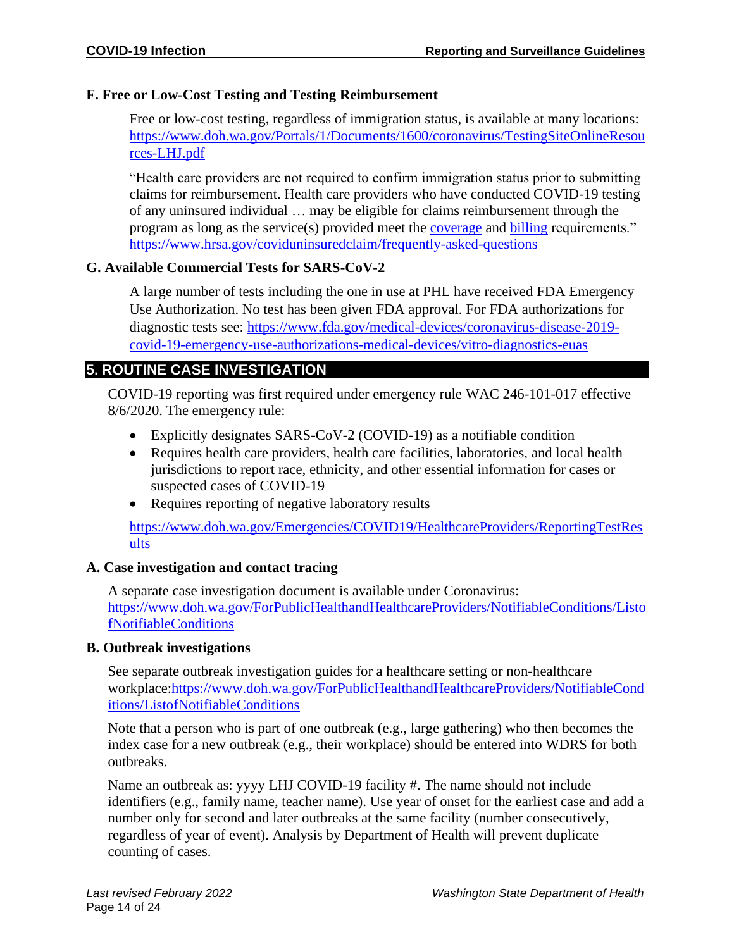#### **F. Free or Low-Cost Testing and Testing Reimbursement**

Free or low-cost testing, regardless of immigration status, is available at many locations: [https://www.doh.wa.gov/Portals/1/Documents/1600/coronavirus/TestingSiteOnlineResou](https://www.doh.wa.gov/Portals/1/Documents/1600/coronavirus/TestingSiteOnlineResources-LHJ.pdf) [rces-LHJ.pdf](https://www.doh.wa.gov/Portals/1/Documents/1600/coronavirus/TestingSiteOnlineResources-LHJ.pdf)

"Health care providers are not required to confirm immigration status prior to submitting claims for reimbursement. Health care providers who have conducted COVID-19 testing of any uninsured individual … may be eligible for claims reimbursement through the program as long as the service(s) provided meet the [coverage](https://coviduninsuredclaim.linkhealth.com/coverage-details.html) and [billing](https://coviduninsuredclaim.linkhealth.com/billing-codes.html) requirements." <https://www.hrsa.gov/coviduninsuredclaim/frequently-asked-questions>

#### **G. Available Commercial Tests for SARS-CoV-2**

A large number of tests including the one in use at PHL have received FDA Emergency Use Authorization. No test has been given FDA approval. For FDA authorizations for diagnostic tests see: [https://www.fda.gov/medical-devices/coronavirus-disease-2019](https://www.fda.gov/medical-devices/coronavirus-disease-2019-covid-19-emergency-use-authorizations-medical-devices/vitro-diagnostics-euas) [covid-19-emergency-use-authorizations-medical-devices/vitro-diagnostics-euas](https://www.fda.gov/medical-devices/coronavirus-disease-2019-covid-19-emergency-use-authorizations-medical-devices/vitro-diagnostics-euas)

# **5. ROUTINE CASE INVESTIGATION**

COVID-19 reporting was first required under emergency rule WAC 246-101-017 effective 8/6/2020. The emergency rule:

- Explicitly designates SARS-CoV-2 (COVID-19) as a notifiable condition
- Requires health care providers, health care facilities, laboratories, and local health jurisdictions to report race, ethnicity, and other essential information for cases or suspected cases of COVID-19
- Requires reporting of negative laboratory results

[https://www.doh.wa.gov/Emergencies/COVID19/HealthcareProviders/ReportingTestRes](https://www.doh.wa.gov/Emergencies/COVID19/HealthcareProviders/ReportingTestResults) [ults](https://www.doh.wa.gov/Emergencies/COVID19/HealthcareProviders/ReportingTestResults)

# **A. Case investigation and contact tracing**

A separate case investigation document is available under Coronavirus: [https://www.doh.wa.gov/ForPublicHealthandHealthcareProviders/NotifiableConditions/Listo](https://www.doh.wa.gov/ForPublicHealthandHealthcareProviders/NotifiableConditions/ListofNotifiableConditions) [fNotifiableConditions](https://www.doh.wa.gov/ForPublicHealthandHealthcareProviders/NotifiableConditions/ListofNotifiableConditions)

#### **B. Outbreak investigations**

See separate outbreak investigation guides for a healthcare setting or non-healthcare workplace[:https://www.doh.wa.gov/ForPublicHealthandHealthcareProviders/NotifiableCond](https://www.doh.wa.gov/ForPublicHealthandHealthcareProviders/NotifiableConditions/ListofNotifiableConditions) [itions/ListofNotifiableConditions](https://www.doh.wa.gov/ForPublicHealthandHealthcareProviders/NotifiableConditions/ListofNotifiableConditions)

Note that a person who is part of one outbreak (e.g., large gathering) who then becomes the index case for a new outbreak (e.g., their workplace) should be entered into WDRS for both outbreaks.

Name an outbreak as: yyyy LHJ COVID-19 facility #. The name should not include identifiers (e.g., family name, teacher name). Use year of onset for the earliest case and add a number only for second and later outbreaks at the same facility (number consecutively, regardless of year of event). Analysis by Department of Health will prevent duplicate counting of cases.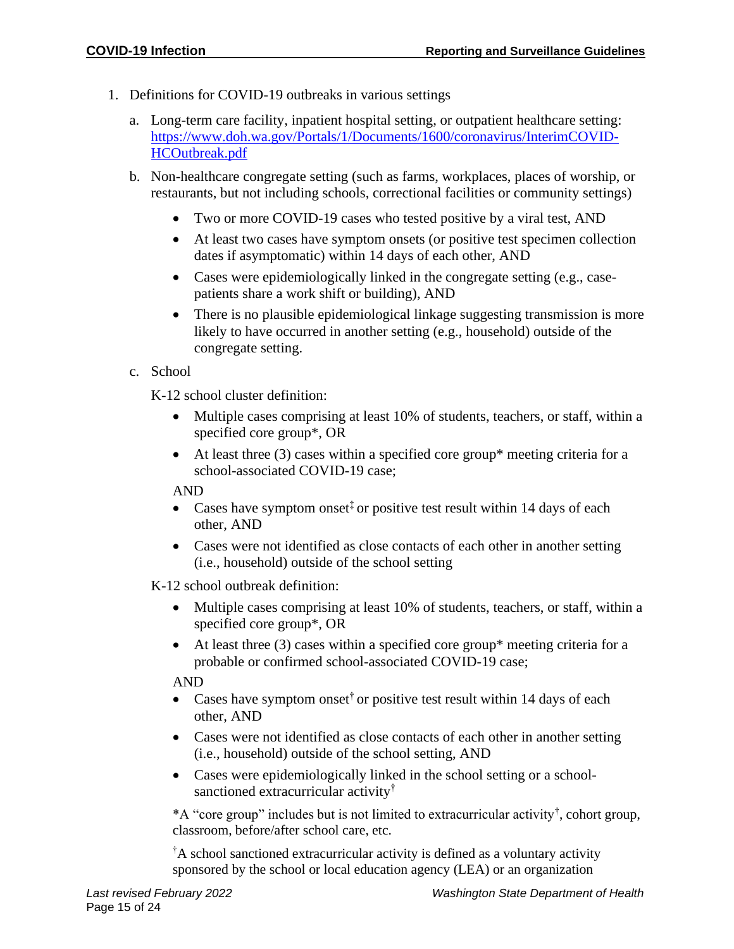- 1. Definitions for COVID-19 outbreaks in various settings
	- a. Long-term care facility, inpatient hospital setting, or outpatient healthcare setting: [https://www.doh.wa.gov/Portals/1/Documents/1600/coronavirus/InterimCOVID-](https://www.doh.wa.gov/Portals/1/Documents/1600/coronavirus/InterimCOVID-HCOutbreak.pdf)[HCOutbreak.pdf](https://www.doh.wa.gov/Portals/1/Documents/1600/coronavirus/InterimCOVID-HCOutbreak.pdf)
	- b. Non-healthcare congregate setting (such as farms, workplaces, places of worship, or restaurants, but not including schools, correctional facilities or community settings)
		- Two or more COVID-19 cases who tested positive by a viral test, AND
		- At least two cases have symptom onsets (or positive test specimen collection dates if asymptomatic) within 14 days of each other, AND
		- Cases were epidemiologically linked in the congregate setting (e.g., casepatients share a work shift or building), AND
		- There is no plausible epidemiological linkage suggesting transmission is more likely to have occurred in another setting (e.g., household) outside of the congregate setting.
	- c. School

K-12 school cluster definition:

- Multiple cases comprising at least 10% of students, teachers, or staff, within a specified core group\*, OR
- At least three (3) cases within a specified core group\* meeting criteria for a school-associated COVID-19 case;

AND

- Cases have symptom onset<sup> $\ddagger$ </sup> or positive test result within 14 days of each other, AND
- Cases were not identified as close contacts of each other in another setting (i.e., household) outside of the school setting

K-12 school outbreak definition:

- Multiple cases comprising at least 10% of students, teachers, or staff, within a specified core group\*, OR
- At least three (3) cases within a specified core group\* meeting criteria for a probable or confirmed school-associated COVID-19 case;

AND

- Cases have symptom onset<sup> $\dagger$ </sup> or positive test result within 14 days of each other, AND
- Cases were not identified as close contacts of each other in another setting (i.e., household) outside of the school setting, AND
- Cases were epidemiologically linked in the school setting or a schoolsanctioned extracurricular activity†

\*A "core group" includes but is not limited to extracurricular activity† , cohort group, classroom, before/after school care, etc.

†A school sanctioned extracurricular activity is defined as a voluntary activity sponsored by the school or local education agency (LEA) or an organization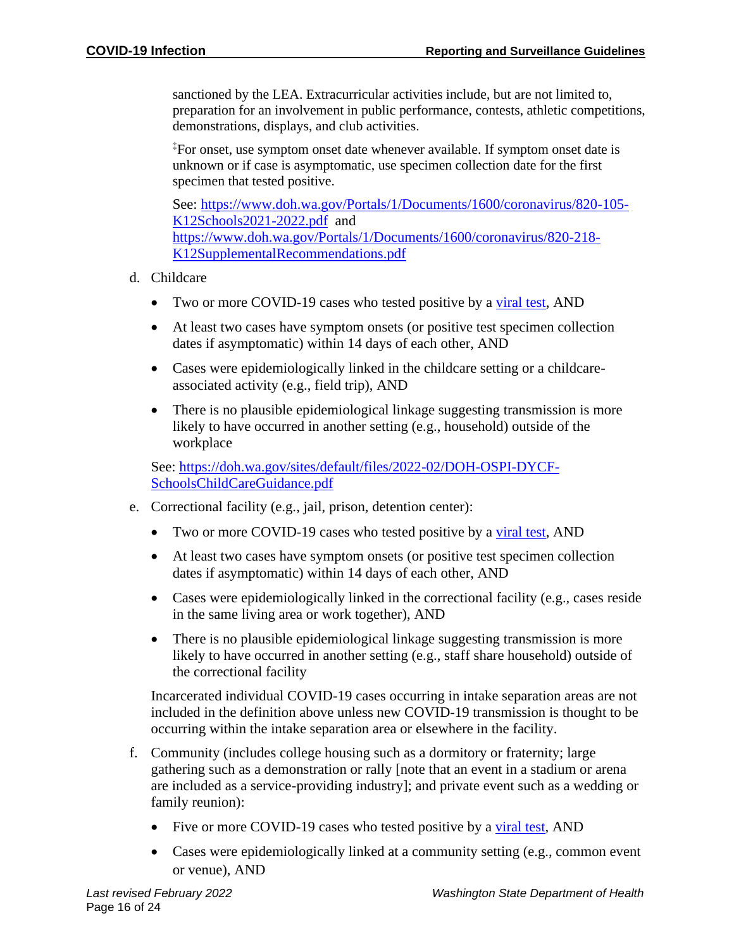sanctioned by the LEA. Extracurricular activities include, but are not limited to, preparation for an involvement in public performance, contests, athletic competitions, demonstrations, displays, and club activities.

‡For onset, use symptom onset date whenever available. If symptom onset date is unknown or if case is asymptomatic, use specimen collection date for the first specimen that tested positive.

See: [https://www.doh.wa.gov/Portals/1/Documents/1600/coronavirus/820-105-](https://www.doh.wa.gov/Portals/1/Documents/1600/coronavirus/820-105-K12Schools2021-2022.pdf) [K12Schools2021-2022.pdf](https://www.doh.wa.gov/Portals/1/Documents/1600/coronavirus/820-105-K12Schools2021-2022.pdf) and [https://www.doh.wa.gov/Portals/1/Documents/1600/coronavirus/820-218-](https://www.doh.wa.gov/Portals/1/Documents/1600/coronavirus/820-218-K12SupplementalRecommendations.pdf) [K12SupplementalRecommendations.pdf](https://www.doh.wa.gov/Portals/1/Documents/1600/coronavirus/820-218-K12SupplementalRecommendations.pdf)

- d. Childcare
	- Two or more COVID-19 cases who tested positive by a [viral test,](https://www.cdc.gov/coronavirus/2019-ncov/symptoms-testing/testing.html) AND
	- At least two cases have symptom onsets (or positive test specimen collection dates if asymptomatic) within 14 days of each other, AND
	- Cases were epidemiologically linked in the childcare setting or a childcareassociated activity (e.g., field trip), AND
	- There is no plausible epidemiological linkage suggesting transmission is more likely to have occurred in another setting (e.g., household) outside of the workplace

See: [https://doh.wa.gov/sites/default/files/2022-02/DOH-OSPI-DYCF-](https://doh.wa.gov/sites/default/files/2022-02/DOH-OSPI-DYCF-SchoolsChildCareGuidance.pdf)[SchoolsChildCareGuidance.pdf](https://doh.wa.gov/sites/default/files/2022-02/DOH-OSPI-DYCF-SchoolsChildCareGuidance.pdf)

- e. Correctional facility (e.g., jail, prison, detention center):
	- Two or more COVID-19 cases who tested positive by a [viral test,](https://www.cdc.gov/coronavirus/2019-ncov/symptoms-testing/testing.html) AND
	- At least two cases have symptom onsets (or positive test specimen collection dates if asymptomatic) within 14 days of each other, AND
	- Cases were epidemiologically linked in the correctional facility (e.g., cases reside in the same living area or work together), AND
	- There is no plausible epidemiological linkage suggesting transmission is more likely to have occurred in another setting (e.g., staff share household) outside of the correctional facility

Incarcerated individual COVID-19 cases occurring in intake separation areas are not included in the definition above unless new COVID-19 transmission is thought to be occurring within the intake separation area or elsewhere in the facility.

- f. Community (includes college housing such as a dormitory or fraternity; large gathering such as a demonstration or rally [note that an event in a stadium or arena are included as a service-providing industry]; and private event such as a wedding or family reunion):
	- Five or more COVID-19 cases who tested positive by a [viral test,](https://www.cdc.gov/coronavirus/2019-ncov/symptoms-testing/testing.html) AND
	- Cases were epidemiologically linked at a community setting (e.g., common event or venue), AND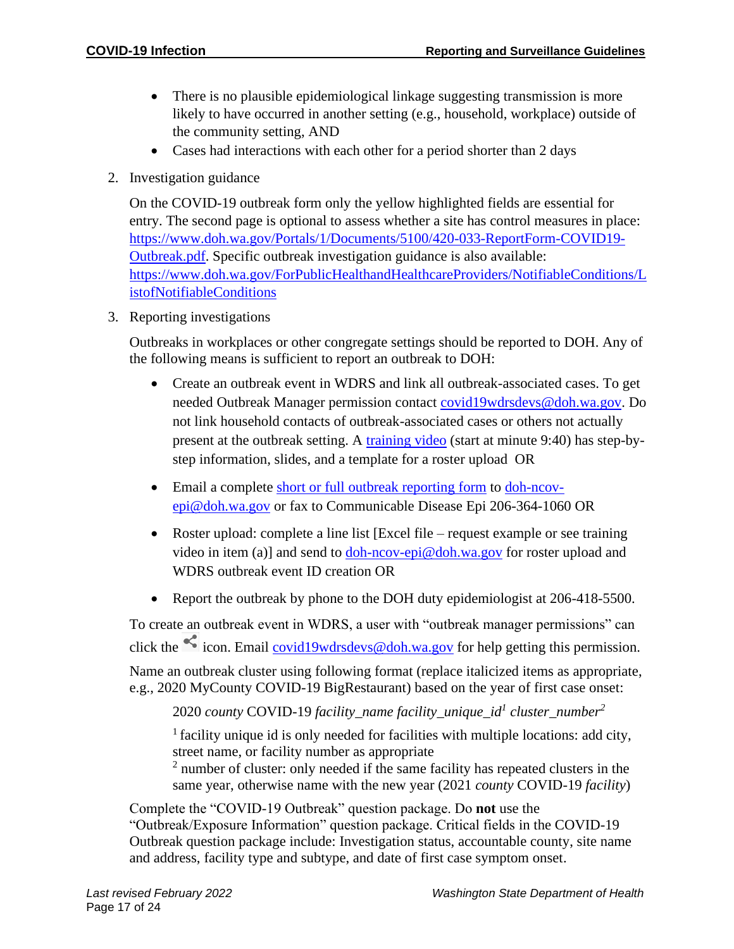- There is no plausible epidemiological linkage suggesting transmission is more likely to have occurred in another setting (e.g., household, workplace) outside of the community setting, AND
- Cases had interactions with each other for a period shorter than 2 days
- 2. Investigation guidance

On the COVID-19 outbreak form only the yellow highlighted fields are essential for entry. The second page is optional to assess whether a site has control measures in place: [https://www.doh.wa.gov/Portals/1/Documents/5100/420-033-ReportForm-COVID19-](https://www.doh.wa.gov/Portals/1/Documents/5100/420-033-ReportForm-COVID19-Outbreak.pdf) [Outbreak.pdf.](https://www.doh.wa.gov/Portals/1/Documents/5100/420-033-ReportForm-COVID19-Outbreak.pdf) Specific outbreak investigation guidance is also available: [https://www.doh.wa.gov/ForPublicHealthandHealthcareProviders/NotifiableConditions/L](https://www.doh.wa.gov/ForPublicHealthandHealthcareProviders/NotifiableConditions/ListofNotifiableConditions) [istofNotifiableConditions](https://www.doh.wa.gov/ForPublicHealthandHealthcareProviders/NotifiableConditions/ListofNotifiableConditions)

3. Reporting investigations

Outbreaks in workplaces or other congregate settings should be reported to DOH. Any of the following means is sufficient to report an outbreak to DOH:

- Create an outbreak event in WDRS and link all outbreak-associated cases. To get needed Outbreak Manager permission contact [covid19wdrsdevs@doh.wa.gov.](mailto:covid19wdrsdevs@doh.wa.gov) Do not link household contacts of outbreak-associated cases or others not actually present at the outbreak setting. A [training video](https://lnks.gd/l/eyJhbGciOiJIUzI1NiJ9.eyJidWxsZXRpbl9saW5rX2lkIjoxMDAsInVyaSI6ImJwMjpjbGljayIsImJ1bGxldGluX2lkIjoiMjAyMDA3MjIuMjQ3Mjc2NzEiLCJ1cmwiOiJodHRwczovL3JlZ2lzdGVyLmdvdG93ZWJpbmFyLmNvbS9yZWNvcmRpbmcvNDg1MDg1NDM5NDg0OTUzNzU1MiJ9.lb9LjF54hRUcexlc3RQEsJ6skJZWA6BG_SHmNbceHpo/s/679457365/br/81358389291-l) (start at minute 9:40) has step-bystep information, slides, and a template for a roster upload OR
- Email a complete [short or full outbreak reporting form](https://www.doh.wa.gov/ForPublicHealthandHealthcareProviders/NotifiableConditions/ListofNotifiableConditions) to [doh-ncov](mailto:doh-ncov-epi@doh.wa.gov)[epi@doh.wa.gov](mailto:doh-ncov-epi@doh.wa.gov) or fax to Communicable Disease Epi 206-364-1060 OR
- Roster upload: complete a line list [Excel file request example or see training video in item (a)] and send to  $\dots$  [doh-ncov-epi@doh.wa.gov](mailto:doh-ncov-epi@doh.wa.gov) for roster upload and WDRS outbreak event ID creation OR
- Report the outbreak by phone to the DOH duty epidemiologist at 206-418-5500.

To create an outbreak event in WDRS, a user with "outbreak manager permissions" can click the  $\leq$  icon. Email [covid19wdrsdevs@doh.wa.gov](mailto:covid19wdrsdevs@doh.wa.gov) for help getting this permission. Name an outbreak cluster using following format (replace italicized items as appropriate, e.g., 2020 MyCounty COVID-19 BigRestaurant) based on the year of first case onset:

2020 *county* COVID-19 *facility\_name facility\_unique\_id<sup>1</sup> cluster\_number<sup>2</sup>*

 $<sup>1</sup>$  facility unique id is only needed for facilities with multiple locations: add city,</sup> street name, or facility number as appropriate

 $2$  number of cluster: only needed if the same facility has repeated clusters in the same year, otherwise name with the new year (2021 *county* COVID-19 *facility*)

Complete the "COVID-19 Outbreak" question package. Do **not** use the "Outbreak/Exposure Information" question package. Critical fields in the COVID-19 Outbreak question package include: Investigation status, accountable county, site name and address, facility type and subtype, and date of first case symptom onset.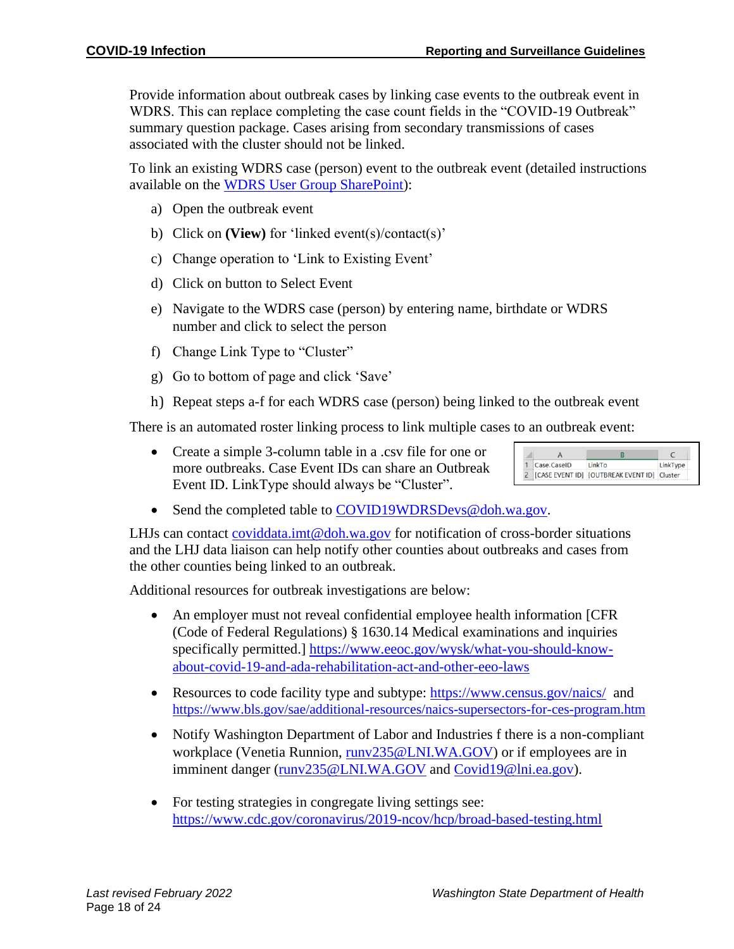Provide information about outbreak cases by linking case events to the outbreak event in WDRS. This can replace completing the case count fields in the "COVID-19 Outbreak" summary question package. Cases arising from secondary transmissions of cases associated with the cluster should not be linked.

To link an existing WDRS case (person) event to the outbreak event (detailed instructions available on the [WDRS User Group SharePoint\)](https://doh.sp.wa.gov/sites/EXT/wdrsuser/Documents/Linking%20cases%20in%20WDRS%20step%20by%20step_07082020.pdf):

- a) Open the outbreak event
- b) Click on **(View)** for 'linked event(s)/contact(s)'
- c) Change operation to 'Link to Existing Event'
- d) Click on button to Select Event
- e) Navigate to the WDRS case (person) by entering name, birthdate or WDRS number and click to select the person
- f) Change Link Type to "Cluster"
- g) Go to bottom of page and click 'Save'
- h) Repeat steps a-f for each WDRS case (person) being linked to the outbreak event

There is an automated roster linking process to link multiple cases to an outbreak event:

• Create a simple 3-column table in a .csv file for one or more outbreaks. Case Event IDs can share an Outbreak Event ID. LinkType should always be "Cluster".



• Send the completed table to [COVID19WDRSDevs@doh.wa.gov.](mailto:COVID19WDRSDevs@doh.wa.gov)

LHJs can contact [coviddata.imt@doh.wa.gov](mailto:coviddata.imt@doh.wa.gov) for notification of cross-border situations and the LHJ data liaison can help notify other counties about outbreaks and cases from the other counties being linked to an outbreak.

Additional resources for outbreak investigations are below:

- An employer must not reveal confidential employee health information [CFR (Code of Federal Regulations) § 1630.14 Medical examinations and inquiries specifically permitted.] [https://www.eeoc.gov/wysk/what-you-should-know](https://www.eeoc.gov/wysk/what-you-should-know-about-covid-19-and-ada-rehabilitation-act-and-other-eeo-laws)[about-covid-19-and-ada-rehabilitation-act-and-other-eeo-laws](https://www.eeoc.gov/wysk/what-you-should-know-about-covid-19-and-ada-rehabilitation-act-and-other-eeo-laws)
- Resources to code facility type and subtype: <https://www.census.gov/naics/> and <https://www.bls.gov/sae/additional-resources/naics-supersectors-for-ces-program.htm>
- Notify Washington Department of Labor and Industries f there is a non-compliant workplace (Venetia Runnion, runy235@LNI, WA.GOV) or if employees are in imminent danger [\(runv235@LNI.WA.GOV](mailto:runv235@LNI.WA.GOV) and [Covid19@lni.ea.gov\)](mailto:Covid19@lni.ea.gov).
- For testing strategies in congregate living settings see: <https://www.cdc.gov/coronavirus/2019-ncov/hcp/broad-based-testing.html>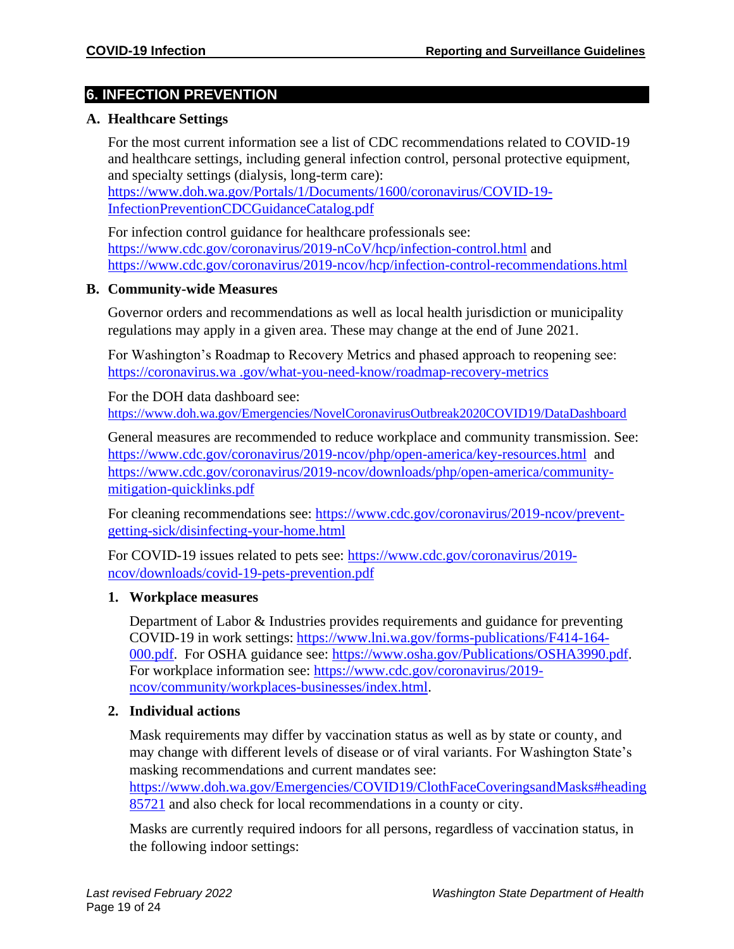# **6. INFECTION PREVENTION**

#### **A. Healthcare Settings**

For the most current information see a list of CDC recommendations related to COVID-19 and healthcare settings, including general infection control, personal protective equipment, and specialty settings (dialysis, long-term care):

[https://www.doh.wa.gov/Portals/1/Documents/1600/coronavirus/COVID-19-](https://www.doh.wa.gov/Portals/1/Documents/1600/coronavirus/COVID-19-InfectionPreventionCDCGuidanceCatalog.pdf) [InfectionPreventionCDCGuidanceCatalog.pdf](https://www.doh.wa.gov/Portals/1/Documents/1600/coronavirus/COVID-19-InfectionPreventionCDCGuidanceCatalog.pdf)

For infection control guidance for healthcare professionals see: <https://www.cdc.gov/coronavirus/2019-nCoV/hcp/infection-control.html> and <https://www.cdc.gov/coronavirus/2019-ncov/hcp/infection-control-recommendations.html>

#### **B. Community-wide Measures**

Governor orders and recommendations as well as local health jurisdiction or municipality regulations may apply in a given area. These may change at the end of June 2021.

For Washington's Roadmap to Recovery Metrics and phased approach to reopening see: https://coronavirus.wa .gov/what-you-need-know/roadmap-recovery-metrics

For the DOH data dashboard see: <https://www.doh.wa.gov/Emergencies/NovelCoronavirusOutbreak2020COVID19/DataDashboard>

General measures are recommended to reduce workplace and community transmission. See: <https://www.cdc.gov/coronavirus/2019-ncov/php/open-america/key-resources.html>and [https://www.cdc.gov/coronavirus/2019-ncov/downloads/php/open-america/community](https://www.cdc.gov/coronavirus/2019-ncov/downloads/php/open-america/community-mitigation-quicklinks.pdf)[mitigation-quicklinks.pdf](https://www.cdc.gov/coronavirus/2019-ncov/downloads/php/open-america/community-mitigation-quicklinks.pdf)

For cleaning recommendations see: [https://www.cdc.gov/coronavirus/2019-ncov/prevent](https://www.cdc.gov/coronavirus/2019-ncov/prevent-getting-sick/disinfecting-your-home.html)[getting-sick/disinfecting-your-home.html](https://www.cdc.gov/coronavirus/2019-ncov/prevent-getting-sick/disinfecting-your-home.html)

For COVID-19 issues related to pets see: [https://www.cdc.gov/coronavirus/2019](https://www.cdc.gov/coronavirus/2019-ncov/downloads/covid-19-pets-prevention.pdf) [ncov/downloads/covid-19-pets-prevention.pdf](https://www.cdc.gov/coronavirus/2019-ncov/downloads/covid-19-pets-prevention.pdf)

#### **1. Workplace measures**

Department of Labor & Industries provides requirements and guidance for preventing COVID-19 in work settings: [https://www.lni.wa.gov/forms-publications/F414-164-](https://www.lni.wa.gov/forms-publications/F414-164-000.pdf) [000.pdf.](https://www.lni.wa.gov/forms-publications/F414-164-000.pdf) For OSHA guidance see: [https://www.osha.gov/Publications/OSHA3990.pdf.](https://www.osha.gov/Publications/OSHA3990.pdf) For workplace information see: [https://www.cdc.gov/coronavirus/2019](https://www.cdc.gov/coronavirus/2019-ncov/community/workplaces-businesses/index.html) [ncov/community/workplaces-businesses/index.html.](https://www.cdc.gov/coronavirus/2019-ncov/community/workplaces-businesses/index.html)

#### **2. Individual actions**

Mask requirements may differ by vaccination status as well as by state or county, and may change with different levels of disease or of viral variants. For Washington State's masking recommendations and current mandates see:

[https://www.doh.wa.gov/Emergencies/COVID19/ClothFaceCoveringsandMasks#heading](https://www.doh.wa.gov/Emergencies/COVID19/ClothFaceCoveringsandMasks#heading85721) [85721](https://www.doh.wa.gov/Emergencies/COVID19/ClothFaceCoveringsandMasks#heading85721) and also check for local recommendations in a county or city.

Masks are currently required indoors for all persons, regardless of vaccination status, in the following indoor settings: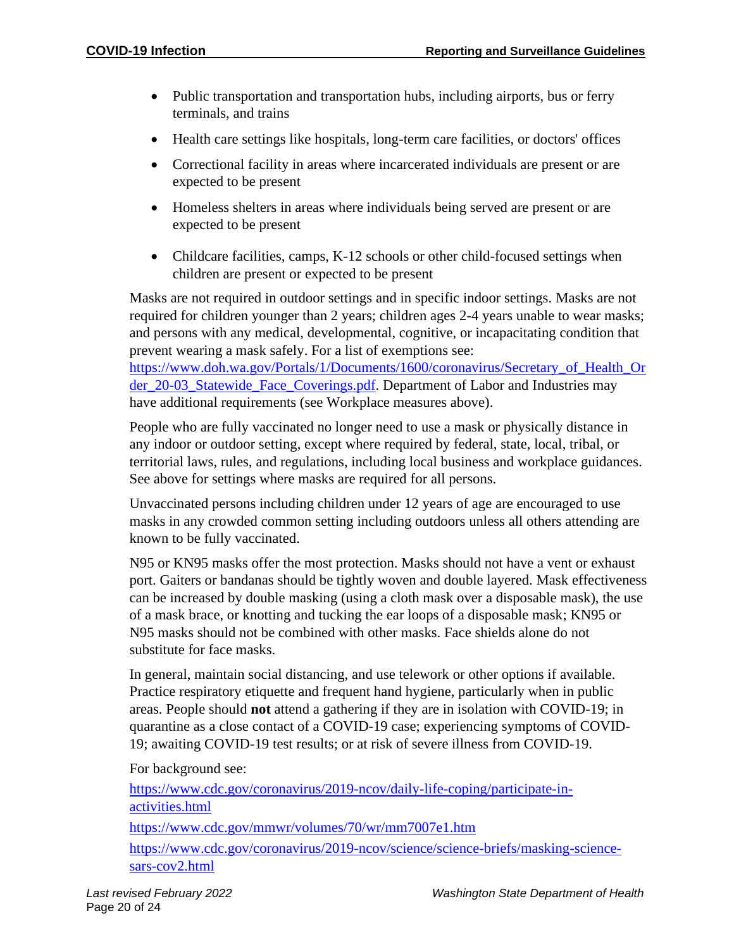- Public transportation and transportation hubs, including airports, bus or ferry terminals, and trains
- Health care settings like hospitals, long-term care facilities, or doctors' offices
- Correctional facility in areas where incarcerated individuals are present or are expected to be present
- Homeless shelters in areas where individuals being served are present or are expected to be present
- Childcare facilities, camps, K-12 schools or other child-focused settings when children are present or expected to be present

Masks are not required in outdoor settings and in specific indoor settings. Masks are not required for children younger than 2 years; children ages 2-4 years unable to wear masks; and persons with any medical, developmental, cognitive, or incapacitating condition that prevent wearing a mask safely. For a list of exemptions see: [https://www.doh.wa.gov/Portals/1/Documents/1600/coronavirus/Secretary\\_of\\_Health\\_Or](https://www.doh.wa.gov/Portals/1/Documents/1600/coronavirus/Secretary_of_Health_Order_20-03_Statewide_Face_Coverings.pdf)

[der\\_20-03\\_Statewide\\_Face\\_Coverings.pdf.](https://www.doh.wa.gov/Portals/1/Documents/1600/coronavirus/Secretary_of_Health_Order_20-03_Statewide_Face_Coverings.pdf) Department of Labor and Industries may have additional requirements (see Workplace measures above).

People who are fully vaccinated no longer need to use a mask or physically distance in any indoor or outdoor setting, except where required by federal, state, local, tribal, or territorial laws, rules, and regulations, including local business and workplace guidances. See above for settings where masks are required for all persons.

Unvaccinated persons including children under 12 years of age are encouraged to use masks in any crowded common setting including outdoors unless all others attending are known to be fully vaccinated.

N95 or KN95 masks offer the most protection. Masks should not have a vent or exhaust port. Gaiters or bandanas should be tightly woven and double layered. Mask effectiveness can be increased by double masking (using a cloth mask over a disposable mask), the use of a mask brace, or knotting and tucking the ear loops of a disposable mask; KN95 or N95 masks should not be combined with other masks. Face shields alone do not substitute for face masks.

In general, maintain social distancing, and use telework or other options if available. Practice respiratory etiquette and frequent hand hygiene, particularly when in public areas. People should **not** attend a gathering if they are in isolation with COVID-19; in quarantine as a close contact of a COVID-19 case; experiencing symptoms of COVID-19; awaiting COVID-19 test results; or at risk of severe illness from COVID-19.

For background see:

[https://www.cdc.gov/coronavirus/2019-ncov/daily-life-coping/participate-in](https://www.cdc.gov/coronavirus/2019-ncov/daily-life-coping/participate-in-activities.html)[activities.html](https://www.cdc.gov/coronavirus/2019-ncov/daily-life-coping/participate-in-activities.html)

<https://www.cdc.gov/mmwr/volumes/70/wr/mm7007e1.htm>

[https://www.cdc.gov/coronavirus/2019-ncov/science/science-briefs/masking-science](https://www.cdc.gov/coronavirus/2019-ncov/science/science-briefs/masking-science-sars-cov2.html)[sars-cov2.html](https://www.cdc.gov/coronavirus/2019-ncov/science/science-briefs/masking-science-sars-cov2.html)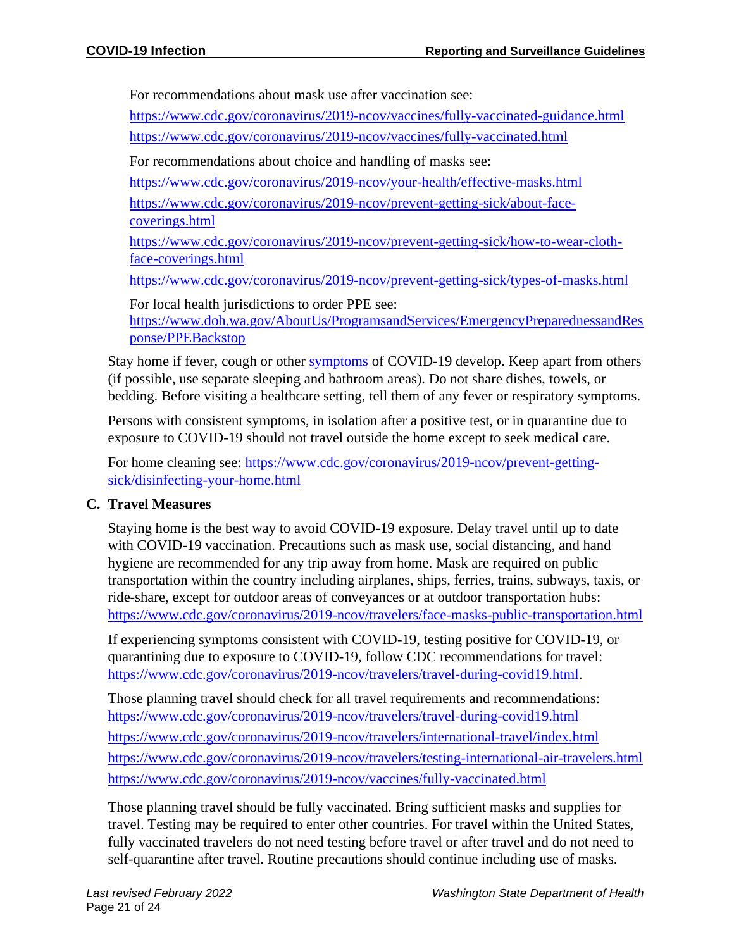For recommendations about mask use after vaccination see:

<https://www.cdc.gov/coronavirus/2019-ncov/vaccines/fully-vaccinated-guidance.html> <https://www.cdc.gov/coronavirus/2019-ncov/vaccines/fully-vaccinated.html>

For recommendations about choice and handling of masks see:

<https://www.cdc.gov/coronavirus/2019-ncov/your-health/effective-masks.html>

[https://www.cdc.gov/coronavirus/2019-ncov/prevent-getting-sick/about-face](https://www.cdc.gov/coronavirus/2019-ncov/prevent-getting-sick/about-face-coverings.html)[coverings.html](https://www.cdc.gov/coronavirus/2019-ncov/prevent-getting-sick/about-face-coverings.html)

[https://www.cdc.gov/coronavirus/2019-ncov/prevent-getting-sick/how-to-wear-cloth](https://www.cdc.gov/coronavirus/2019-ncov/prevent-getting-sick/how-to-wear-cloth-face-coverings.html)[face-coverings.html](https://www.cdc.gov/coronavirus/2019-ncov/prevent-getting-sick/how-to-wear-cloth-face-coverings.html)

<https://www.cdc.gov/coronavirus/2019-ncov/prevent-getting-sick/types-of-masks.html>

For local health jurisdictions to order PPE see: [https://www.doh.wa.gov/AboutUs/ProgramsandServices/EmergencyPreparednessandRes](https://www.doh.wa.gov/AboutUs/ProgramsandServices/EmergencyPreparednessandResponse/PPEBackstop) [ponse/PPEBackstop](https://www.doh.wa.gov/AboutUs/ProgramsandServices/EmergencyPreparednessandResponse/PPEBackstop)

Stay home if fever, cough or other [symptoms](https://www.cdc.gov/coronavirus/2019-ncov/symptoms-testing/symptoms.html) of COVID-19 develop. Keep apart from others (if possible, use separate sleeping and bathroom areas). Do not share dishes, towels, or bedding. Before visiting a healthcare setting, tell them of any fever or respiratory symptoms.

Persons with consistent symptoms, in isolation after a positive test, or in quarantine due to exposure to COVID-19 should not travel outside the home except to seek medical care.

For home cleaning see: [https://www.cdc.gov/coronavirus/2019-ncov/prevent-getting](https://www.cdc.gov/coronavirus/2019-ncov/prevent-getting-sick/disinfecting-your-home.html)[sick/disinfecting-your-home.html](https://www.cdc.gov/coronavirus/2019-ncov/prevent-getting-sick/disinfecting-your-home.html)

# **C. Travel Measures**

Staying home is the best way to avoid COVID-19 exposure. Delay travel until up to date with COVID-19 vaccination. Precautions such as mask use, social distancing, and hand hygiene are recommended for any trip away from home. Mask are required on public transportation within the country including airplanes, ships, ferries, trains, subways, taxis, or ride-share, except for outdoor areas of conveyances or at outdoor transportation hubs: <https://www.cdc.gov/coronavirus/2019-ncov/travelers/face-masks-public-transportation.html>

If experiencing symptoms consistent with COVID-19, testing positive for COVID-19, or quarantining due to exposure to COVID-19, follow CDC recommendations for travel: [https://www.cdc.gov/coronavirus/2019-ncov/travelers/travel-during-covid19.html.](https://www.cdc.gov/coronavirus/2019-ncov/travelers/travel-during-covid19.html)

Those planning travel should check for all travel requirements and recommendations: <https://www.cdc.gov/coronavirus/2019-ncov/travelers/travel-during-covid19.html> <https://www.cdc.gov/coronavirus/2019-ncov/travelers/international-travel/index.html> <https://www.cdc.gov/coronavirus/2019-ncov/travelers/testing-international-air-travelers.html> <https://www.cdc.gov/coronavirus/2019-ncov/vaccines/fully-vaccinated.html>

Those planning travel should be fully vaccinated. Bring sufficient masks and supplies for travel. Testing may be required to enter other countries. For travel within the United States, fully vaccinated travelers do not need testing before travel or after travel and do not need to self-quarantine after travel. Routine precautions should continue including use of masks.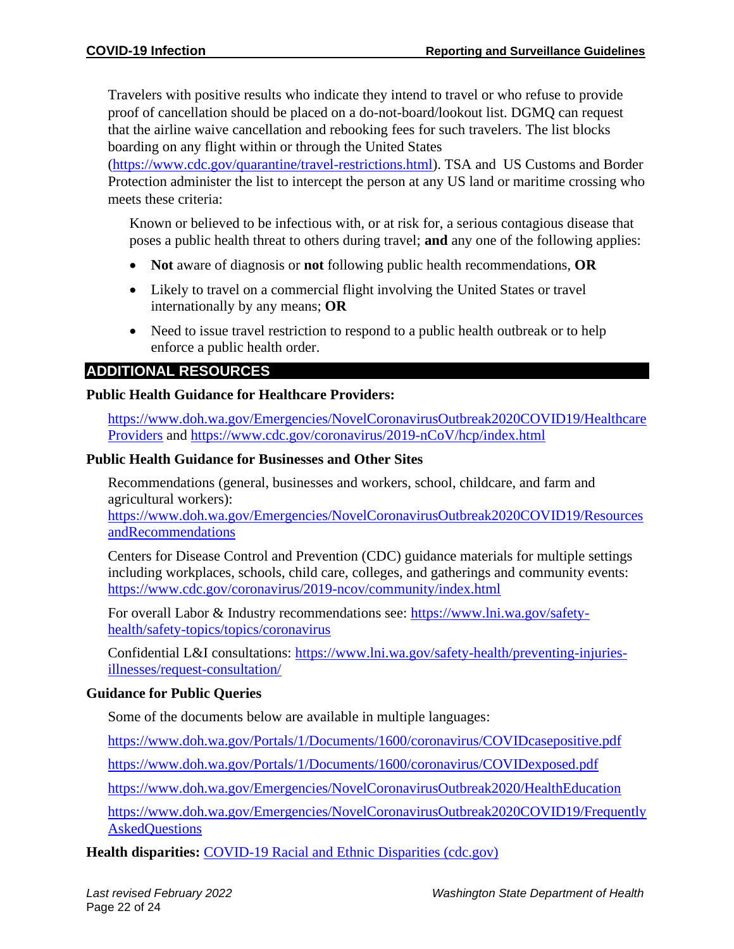Travelers with positive results who indicate they intend to travel or who refuse to provide proof of cancellation should be placed on a do-not-board/lookout list. DGMQ can request that the airline waive cancellation and rebooking fees for such travelers. The list blocks boarding on any flight within or through the United States

[\(https://www.cdc.gov/quarantine/travel-restrictions.html\)](https://www.cdc.gov/quarantine/travel-restrictions.html). TSA and US Customs and Border Protection administer the list to intercept the person at any US land or maritime crossing who meets these criteria:

Known or believed to be infectious with, or at risk for, a serious contagious disease that poses a public health threat to others during travel; **and** any one of the following applies:

- **Not** aware of diagnosis or **not** following public health recommendations, **OR**
- Likely to travel on a commercial flight involving the United States or travel internationally by any means; **OR**
- Need to issue travel restriction to respond to a public health outbreak or to help enforce a public health order.

# **ADDITIONAL RESOURCES**

#### **Public Health Guidance for Healthcare Providers:**

[https://www.doh.wa.gov/Emergencies/NovelCoronavirusOutbreak2020COVID19/Healthcare](https://www.doh.wa.gov/Emergencies/NovelCoronavirusOutbreak2020COVID19/HealthcareProviders) [Providers](https://www.doh.wa.gov/Emergencies/NovelCoronavirusOutbreak2020COVID19/HealthcareProviders) and<https://www.cdc.gov/coronavirus/2019-nCoV/hcp/index.html>

#### **Public Health Guidance for Businesses and Other Sites**

Recommendations (general, businesses and workers, school, childcare, and farm and agricultural workers):

[https://www.doh.wa.gov/Emergencies/NovelCoronavirusOutbreak2020COVID19/Resources](https://www.doh.wa.gov/Emergencies/NovelCoronavirusOutbreak2020COVID19/ResourcesandRecommendations) [andRecommendations](https://www.doh.wa.gov/Emergencies/NovelCoronavirusOutbreak2020COVID19/ResourcesandRecommendations)

Centers for Disease Control and Prevention (CDC) guidance materials for multiple settings including workplaces, schools, child care, colleges, and gatherings and community events: <https://www.cdc.gov/coronavirus/2019-ncov/community/index.html>

For overall Labor & Industry recommendations see: [https://www.lni.wa.gov/safety](https://www.lni.wa.gov/safety-health/safety-topics/topics/coronavirus)[health/safety-topics/topics/coronavirus](https://www.lni.wa.gov/safety-health/safety-topics/topics/coronavirus)

Confidential L&I consultations: [https://www.lni.wa.gov/safety-health/preventing-injuries](https://www.lni.wa.gov/safety-health/preventing-injuries-illnesses/request-consultation/)[illnesses/request-consultation/](https://www.lni.wa.gov/safety-health/preventing-injuries-illnesses/request-consultation/)

#### **Guidance for Public Queries**

Some of the documents below are available in multiple languages:

<https://www.doh.wa.gov/Portals/1/Documents/1600/coronavirus/COVIDcasepositive.pdf>

<https://www.doh.wa.gov/Portals/1/Documents/1600/coronavirus/COVIDexposed.pdf>

<https://www.doh.wa.gov/Emergencies/NovelCoronavirusOutbreak2020/HealthEducation>

[https://www.doh.wa.gov/Emergencies/NovelCoronavirusOutbreak2020COVID19/Frequently](https://www.doh.wa.gov/Emergencies/NovelCoronavirusOutbreak2020COVID19/FrequentlyAskedQuestions) **[AskedQuestions](https://www.doh.wa.gov/Emergencies/NovelCoronavirusOutbreak2020COVID19/FrequentlyAskedQuestions)** 

**Health disparities:** [COVID-19 Racial and Ethnic Disparities \(cdc.gov\)](https://www.cdc.gov/coronavirus/2019-ncov/community/health-equity/racial-ethnic-disparities/index.html?ACSTrackingID=USCDC_2067-DM45255&ACSTrackingLabel=Winter%20Holidays%20%7C%20COVID-19&deliveryName=USCDC_2067-DM45255)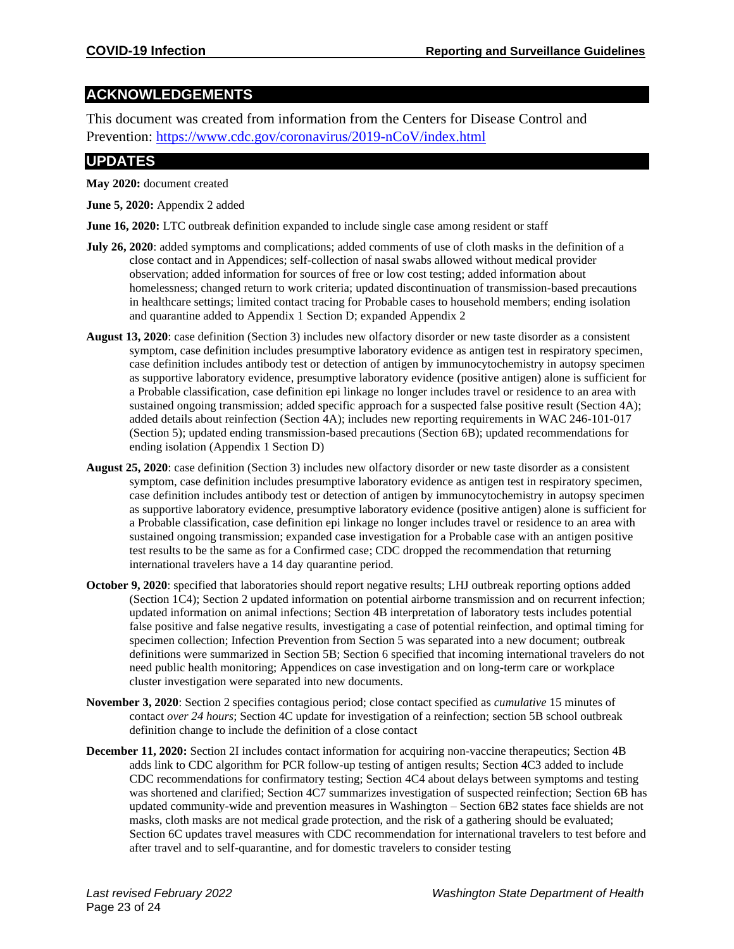# **ACKNOWLEDGEMENTS**

This document was created from information from the Centers for Disease Control and Prevention:<https://www.cdc.gov/coronavirus/2019-nCoV/index.html>

# **UPDATES**

**May 2020:** document created

**June 5, 2020:** Appendix 2 added

**June 16, 2020:** LTC outbreak definition expanded to include single case among resident or staff

- **July 26, 2020**: added symptoms and complications; added comments of use of cloth masks in the definition of a close contact and in Appendices; self-collection of nasal swabs allowed without medical provider observation; added information for sources of free or low cost testing; added information about homelessness; changed return to work criteria; updated discontinuation of transmission-based precautions in healthcare settings; limited contact tracing for Probable cases to household members; ending isolation and quarantine added to Appendix 1 Section D; expanded Appendix 2
- **August 13, 2020**: case definition (Section 3) includes new olfactory disorder or new taste disorder as a consistent symptom, case definition includes presumptive laboratory evidence as antigen test in respiratory specimen, case definition includes antibody test or detection of antigen by immunocytochemistry in autopsy specimen as supportive laboratory evidence, presumptive laboratory evidence (positive antigen) alone is sufficient for a Probable classification, case definition epi linkage no longer includes travel or residence to an area with sustained ongoing transmission; added specific approach for a suspected false positive result (Section 4A); added details about reinfection (Section 4A); includes new reporting requirements in WAC 246-101-017 (Section 5); updated ending transmission-based precautions (Section 6B); updated recommendations for ending isolation (Appendix 1 Section D)
- **August 25, 2020**: case definition (Section 3) includes new olfactory disorder or new taste disorder as a consistent symptom, case definition includes presumptive laboratory evidence as antigen test in respiratory specimen, case definition includes antibody test or detection of antigen by immunocytochemistry in autopsy specimen as supportive laboratory evidence, presumptive laboratory evidence (positive antigen) alone is sufficient for a Probable classification, case definition epi linkage no longer includes travel or residence to an area with sustained ongoing transmission; expanded case investigation for a Probable case with an antigen positive test results to be the same as for a Confirmed case; CDC dropped the recommendation that returning international travelers have a 14 day quarantine period.
- **October 9, 2020**: specified that laboratories should report negative results; LHJ outbreak reporting options added (Section 1C4); Section 2 updated information on potential airborne transmission and on recurrent infection; updated information on animal infections; Section 4B interpretation of laboratory tests includes potential false positive and false negative results, investigating a case of potential reinfection, and optimal timing for specimen collection; Infection Prevention from Section 5 was separated into a new document; outbreak definitions were summarized in Section 5B; Section 6 specified that incoming international travelers do not need public health monitoring; Appendices on case investigation and on long-term care or workplace cluster investigation were separated into new documents.
- **November 3, 2020**: Section 2 specifies contagious period; close contact specified as *cumulative* 15 minutes of contact *over 24 hours*; Section 4C update for investigation of a reinfection; section 5B school outbreak definition change to include the definition of a close contact
- **December 11, 2020:** Section 2I includes contact information for acquiring non-vaccine therapeutics; Section 4B adds link to CDC algorithm for PCR follow-up testing of antigen results; Section 4C3 added to include CDC recommendations for confirmatory testing; Section 4C4 about delays between symptoms and testing was shortened and clarified; Section 4C7 summarizes investigation of suspected reinfection; Section 6B has updated community-wide and prevention measures in Washington – Section 6B2 states face shields are not masks, cloth masks are not medical grade protection, and the risk of a gathering should be evaluated; Section 6C updates travel measures with CDC recommendation for international travelers to test before and after travel and to self-quarantine, and for domestic travelers to consider testing